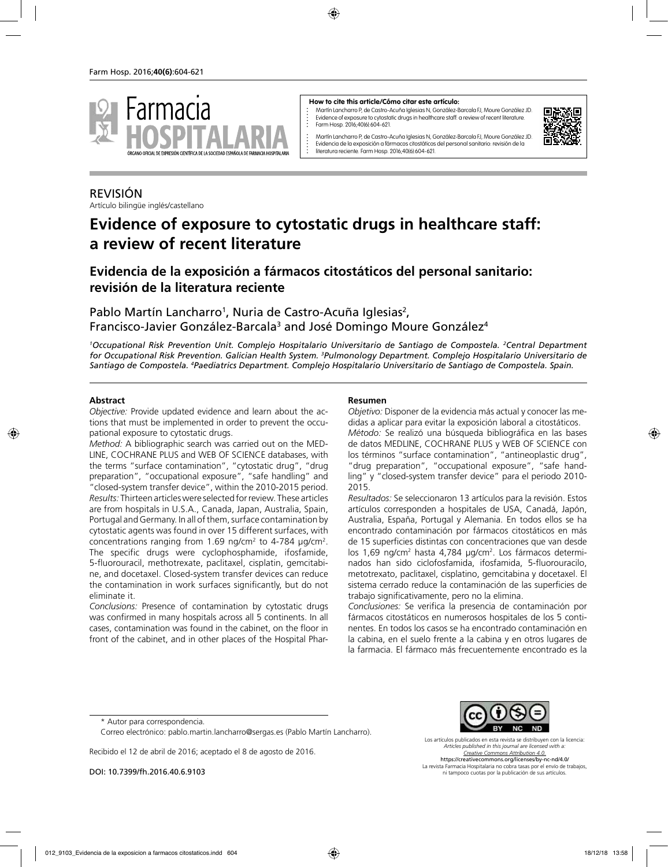

#### **How to cite this article/Cómo citar este artículo:**

Martín Lancharro P, de Castro-Acuña Iglesias N, González-Barcala FJ, Moure González JD. Evidence of exposure to cytostatic drugs in healthcare staff: a review of recent literature. Farm Hosp. 2016;40(6):604-621.



Martín Lancharro P, de Castro-Acuña Iglesias N, González-Barcala FJ, Moure González JD. Evidencia de la exposición a fármacos citostáticos del personal sanitario: revisión de la literatura reciente. Farm Hosp. 2016;40(6):604-621.

# REVISIÓN

Artículo bilingüe inglés/castellano

# **Evidence of exposure to cytostatic drugs in healthcare staff: a review of recent literature**

# **Evidencia de la exposición a fármacos citostáticos del personal sanitario: revisión de la literatura reciente**

Pablo Martín Lancharro<sup>1</sup>, Nuria de Castro-Acuña Iglesias<sup>2</sup>, Francisco-Javier González-Barcala<sup>3</sup> and José Domingo Moure González<sup>4</sup>

*1 Occupational Risk Prevention Unit. Complejo Hospitalario Universitario de Santiago de Compostela. 2 Central Department for Occupational Risk Prevention. Galician Health System. 3 Pulmonology Department. Complejo Hospitalario Universitario de Santiago de Compostela. 4 Paediatrics Department. Complejo Hospitalario Universitario de Santiago de Compostela. Spain.*

#### **Abstract**

*Objective:* Provide updated evidence and learn about the actions that must be implemented in order to prevent the occupational exposure to cytostatic drugs.

*Method:* A bibliographic search was carried out on the MED-LINE, COCHRANE PLUS and WEB OF SCIENCE databases, with the terms "surface contamination", "cytostatic drug", "drug preparation", "occupational exposure", "safe handling" and "closed-system transfer device", within the 2010-2015 period. *Results:* Thirteen articles were selected for review. These articles are from hospitals in U.S.A., Canada, Japan, Australia, Spain, Portugal and Germany. In all of them, surface contamination by cytostatic agents was found in over 15 different surfaces, with concentrations ranging from 1.69 ng/cm<sup>2</sup> to 4-784  $\mu$ g/cm<sup>2</sup>. The specific drugs were cyclophosphamide, ifosfamide, 5-fluorouracil, methotrexate, paclitaxel, cisplatin, gemcitabine, and docetaxel. Closed-system transfer devices can reduce the contamination in work surfaces significantly, but do not eliminate it.

*Conclusions:* Presence of contamination by cytostatic drugs was confirmed in many hospitals across all 5 continents. In all cases, contamination was found in the cabinet, on the floor in front of the cabinet, and in other places of the Hospital Phar-

#### **Resumen**

*Objetivo:* Disponer de la evidencia más actual y conocer las medidas a aplicar para evitar la exposición laboral a citostáticos. *Método:* Se realizó una búsqueda bibliográfica en las bases de datos MEDLINE, COCHRANE PLUS y WEB OF SCIENCE con los términos "surface contamination", "antineoplastic drug", "drug preparation", "occupational exposure", "safe handling" y "closed-system transfer device" para el periodo 2010- 2015.

*Resultados:* Se seleccionaron 13 artículos para la revisión. Estos artículos corresponden a hospitales de USA, Canadá, Japón, Australia, España, Portugal y Alemania. En todos ellos se ha encontrado contaminación por fármacos citostáticos en más de 15 superficies distintas con concentraciones que van desde los 1,69 ng/cm² hasta 4,784 µg/cm². Los fármacos determinados han sido ciclofosfamida, ifosfamida, 5-fluorouracilo, metotrexato, paclitaxel, cisplatino, gemcitabina y docetaxel. El sistema cerrado reduce la contaminación de las superficies de trabajo significativamente, pero no la elimina.

*Conclusiones:* Se verifica la presencia de contaminación por fármacos citostáticos en numerosos hospitales de los 5 continentes. En todos los casos se ha encontrado contaminación en la cabina, en el suelo frente a la cabina y en otros lugares de la farmacia. El fármaco más frecuentemente encontrado es la

Recibido el 12 de abril de 2016; aceptado el 8 de agosto de 2016.

DOI: 10.7399/fh.2016.40.6.9103



Los artículos publicados en esta revista se distribuyen con la licencia: *Articles published in this journal are licensed with a: Creative Commons Attribution 4.0.* https://creativecommons.org/licenses/by-nc-nd/4.0/ La revista Farmacia Hospitalaria no cobra tasas por el envío de trabajos, ni tampoco cuotas por la publicación de sus artículos.

<sup>\*</sup> Autor para correspondencia.

Correo electrónico: pablo.martin.lancharro@sergas.es (Pablo Martín Lancharro).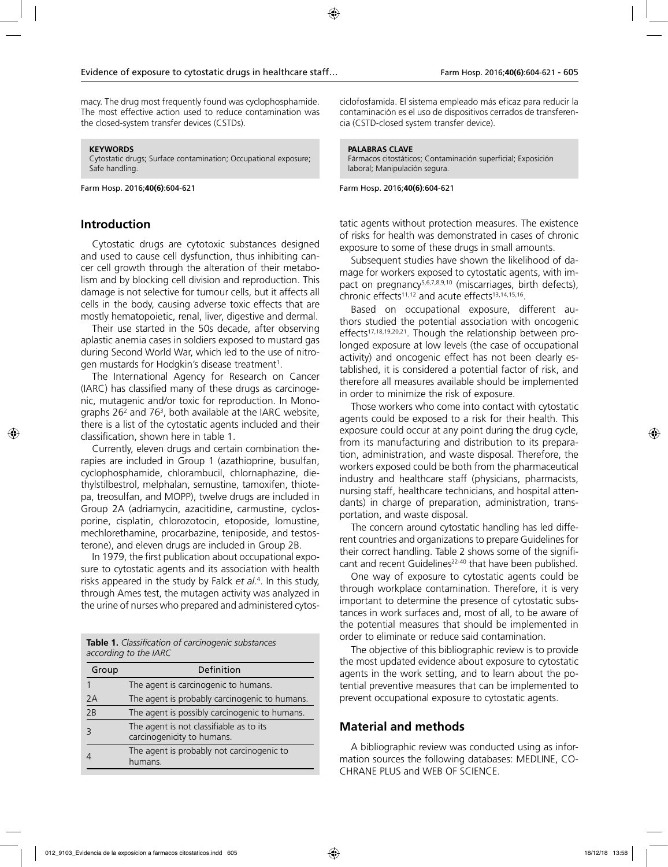macy. The drug most frequently found was cyclophosphamide. The most effective action used to reduce contamination was the closed-system transfer devices (CSTDs).

#### **KEYWORDS**

Cytostatic drugs; Surface contamination; Occupational exposure; Safe handling.

Farm Hosp. 2016;**40(6)**:604-621

### **Introduction**

Cytostatic drugs are cytotoxic substances designed and used to cause cell dysfunction, thus inhibiting cancer cell growth through the alteration of their metabolism and by blocking cell division and reproduction. This damage is not selective for tumour cells, but it affects all cells in the body, causing adverse toxic effects that are mostly hematopoietic, renal, liver, digestive and dermal.

Their use started in the 50s decade, after observing aplastic anemia cases in soldiers exposed to mustard gas during Second World War, which led to the use of nitrogen mustards for Hodgkin's disease treatment<sup>1</sup>.

The International Agency for Research on Cancer (IARC) has classified many of these drugs as carcinogenic, mutagenic and/or toxic for reproduction. In Monographs  $26<sup>2</sup>$  and  $76<sup>3</sup>$ , both available at the IARC website, there is a list of the cytostatic agents included and their classification, shown here in table 1.

Currently, eleven drugs and certain combination therapies are included in Group 1 (azathioprine, busulfan, cyclophosphamide, chlorambucil, chlornaphazine, diethylstilbestrol, melphalan, semustine, tamoxifen, thiotepa, treosulfan, and MOPP), twelve drugs are included in Group 2A (adriamycin, azacitidine, carmustine, cyclosporine, cisplatin, chlorozotocin, etoposide, lomustine, mechlorethamine, procarbazine, teniposide, and testosterone), and eleven drugs are included in Group 2B.

In 1979, the first publication about occupational exposure to cytostatic agents and its association with health risks appeared in the study by Falck *et al.*<sup>4</sup> . In this study, through Ames test, the mutagen activity was analyzed in the urine of nurses who prepared and administered cytos-

**Table 1.** *Classification of carcinogenic substances according to the IARC*

| Group | Definition                                                            |
|-------|-----------------------------------------------------------------------|
|       | The agent is carcinogenic to humans.                                  |
| 2A    | The agent is probably carcinogenic to humans.                         |
| 2B    | The agent is possibly carcinogenic to humans.                         |
|       | The agent is not classifiable as to its<br>carcinogenicity to humans. |
|       | The agent is probably not carcinogenic to<br>humans.                  |

ciclofosfamida. El sistema empleado más eficaz para reducir la contaminación es el uso de dispositivos cerrados de transferencia (CSTD-closed system transfer device).

#### **PALABRAS CLAVE**

Fármacos citostáticos; Contaminación superficial; Exposición laboral; Manipulación segura.

Farm Hosp. 2016;**40(6)**:604-621

tatic agents without protection measures. The existence of risks for health was demonstrated in cases of chronic exposure to some of these drugs in small amounts.

Subsequent studies have shown the likelihood of damage for workers exposed to cytostatic agents, with impact on pregnancy<sup>5,6,7,8,9,10</sup> (miscarriages, birth defects), chronic effects<sup>11,12</sup> and acute effects<sup>13,14,15,16</sup>.

Based on occupational exposure, different authors studied the potential association with oncogenic effects<sup>17,18,19,20,21</sup>. Though the relationship between prolonged exposure at low levels (the case of occupational activity) and oncogenic effect has not been clearly established, it is considered a potential factor of risk, and therefore all measures available should be implemented in order to minimize the risk of exposure.

Those workers who come into contact with cytostatic agents could be exposed to a risk for their health. This exposure could occur at any point during the drug cycle, from its manufacturing and distribution to its preparation, administration, and waste disposal. Therefore, the workers exposed could be both from the pharmaceutical industry and healthcare staff (physicians, pharmacists, nursing staff, healthcare technicians, and hospital attendants) in charge of preparation, administration, transportation, and waste disposal.

The concern around cytostatic handling has led different countries and organizations to prepare Guidelines for their correct handling. Table 2 shows some of the significant and recent Guidelines<sup>22-40</sup> that have been published.

One way of exposure to cytostatic agents could be through workplace contamination. Therefore, it is very important to determine the presence of cytostatic substances in work surfaces and, most of all, to be aware of the potential measures that should be implemented in order to eliminate or reduce said contamination.

The objective of this bibliographic review is to provide the most updated evidence about exposure to cytostatic agents in the work setting, and to learn about the potential preventive measures that can be implemented to prevent occupational exposure to cytostatic agents.

#### **Material and methods**

A bibliographic review was conducted using as information sources the following databases: MEDLINE, CO-CHRANE PLUS and WEB OF SCIENCE.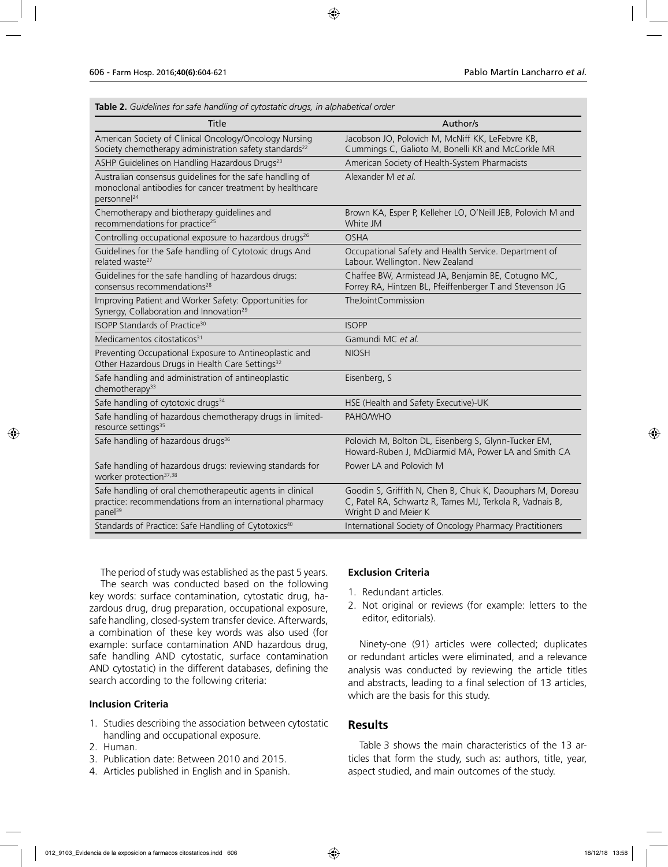**Table 2.** *Guidelines for safe handling of cytostatic drugs, in alphabetical order*

| Title                                                                                                                                           | Author/s                                                                                                                                      |
|-------------------------------------------------------------------------------------------------------------------------------------------------|-----------------------------------------------------------------------------------------------------------------------------------------------|
| American Society of Clinical Oncology/Oncology Nursing<br>Society chemotherapy administration safety standards <sup>22</sup>                    | Jacobson JO, Polovich M, McNiff KK, LeFebvre KB,<br>Cummings C, Galioto M, Bonelli KR and McCorkle MR                                         |
| ASHP Guidelines on Handling Hazardous Drugs <sup>23</sup>                                                                                       | American Society of Health-System Pharmacists                                                                                                 |
| Australian consensus guidelines for the safe handling of<br>monoclonal antibodies for cancer treatment by healthcare<br>personnel <sup>24</sup> | Alexander M et al.                                                                                                                            |
| Chemotherapy and biotherapy guidelines and<br>recommendations for practice <sup>25</sup>                                                        | Brown KA, Esper P, Kelleher LO, O'Neill JEB, Polovich M and<br>White JM                                                                       |
| Controlling occupational exposure to hazardous drugs <sup>26</sup>                                                                              | <b>OSHA</b>                                                                                                                                   |
| Guidelines for the Safe handling of Cytotoxic drugs And<br>related waste <sup>27</sup>                                                          | Occupational Safety and Health Service. Department of<br>Labour. Wellington. New Zealand                                                      |
| Guidelines for the safe handling of hazardous drugs:<br>consensus recommendations <sup>28</sup>                                                 | Chaffee BW, Armistead JA, Benjamin BE, Cotugno MC,<br>Forrey RA, Hintzen BL, Pfeiffenberger T and Stevenson JG                                |
| Improving Patient and Worker Safety: Opportunities for<br>Synergy, Collaboration and Innovation <sup>29</sup>                                   | TheJointCommission                                                                                                                            |
| ISOPP Standards of Practice <sup>30</sup>                                                                                                       | <b>ISOPP</b>                                                                                                                                  |
| Medicamentos citostaticos <sup>31</sup>                                                                                                         | Gamundi MC et al.                                                                                                                             |
| Preventing Occupational Exposure to Antineoplastic and<br>Other Hazardous Drugs in Health Care Settings <sup>32</sup>                           | <b>NIOSH</b>                                                                                                                                  |
| Safe handling and administration of antineoplastic<br>chemotherapy <sup>33</sup>                                                                | Eisenberg, S                                                                                                                                  |
| Safe handling of cytotoxic drugs <sup>34</sup>                                                                                                  | HSE (Health and Safety Executive)-UK                                                                                                          |
| Safe handling of hazardous chemotherapy drugs in limited-<br>resource settings <sup>35</sup>                                                    | PAHO/WHO                                                                                                                                      |
| Safe handling of hazardous drugs <sup>36</sup>                                                                                                  | Polovich M, Bolton DL, Eisenberg S, Glynn-Tucker EM,<br>Howard-Ruben J, McDiarmid MA, Power LA and Smith CA                                   |
| Safe handling of hazardous drugs: reviewing standards for<br>worker protection <sup>37,38</sup>                                                 | Power LA and Polovich M                                                                                                                       |
| Safe handling of oral chemotherapeutic agents in clinical<br>practice: recommendations from an international pharmacy<br>panel <sup>39</sup>    | Goodin S, Griffith N, Chen B, Chuk K, Daouphars M, Doreau<br>C, Patel RA, Schwartz R, Tames MJ, Terkola R, Vadnais B,<br>Wright D and Meier K |
| Standards of Practice: Safe Handling of Cytotoxics <sup>40</sup>                                                                                | International Society of Oncology Pharmacy Practitioners                                                                                      |

The period of study was established as the past 5 years. The search was conducted based on the following key words: surface contamination, cytostatic drug, hazardous drug, drug preparation, occupational exposure, safe handling, closed-system transfer device. Afterwards, a combination of these key words was also used (for example: surface contamination AND hazardous drug, safe handling AND cytostatic, surface contamination AND cytostatic) in the different databases, defining the search according to the following criteria:

#### **Inclusion Criteria**

- 1. Studies describing the association between cytostatic handling and occupational exposure.
- 2. Human.
- 3. Publication date: Between 2010 and 2015.
- 4. Articles published in English and in Spanish.

#### **Exclusion Criteria**

- 1. Redundant articles.
- 2. Not original or reviews (for example: letters to the editor, editorials).

Ninety-one (91) articles were collected; duplicates or redundant articles were eliminated, and a relevance analysis was conducted by reviewing the article titles and abstracts, leading to a final selection of 13 articles, which are the basis for this study.

#### **Results**

Table 3 shows the main characteristics of the 13 articles that form the study, such as: authors, title, year, aspect studied, and main outcomes of the study.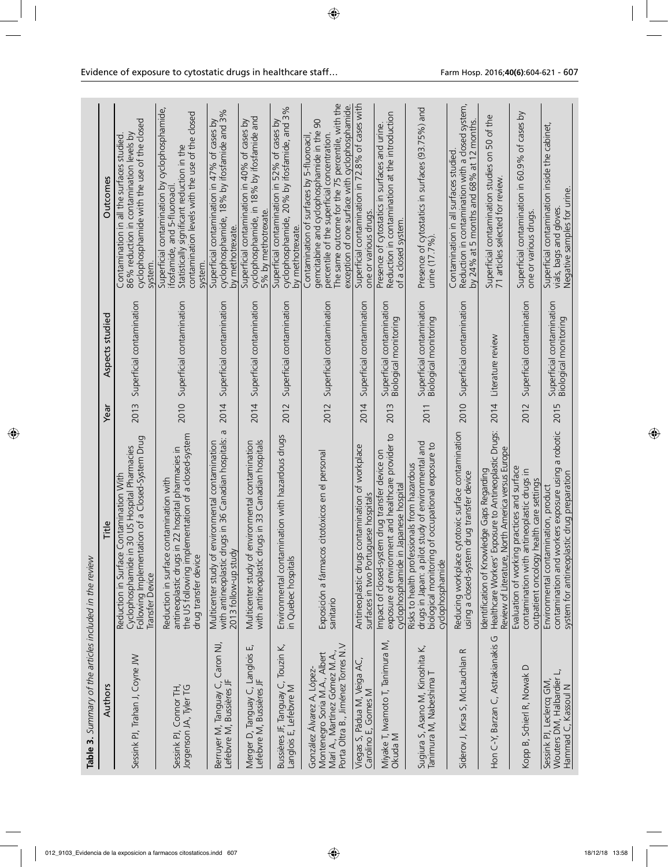| Table 3. Summary of the articles included in the review                                                                          |                                                                                                                                                                               |      |                                                    |                                                                                                                                                                                                                                                    |
|----------------------------------------------------------------------------------------------------------------------------------|-------------------------------------------------------------------------------------------------------------------------------------------------------------------------------|------|----------------------------------------------------|----------------------------------------------------------------------------------------------------------------------------------------------------------------------------------------------------------------------------------------------------|
| Authors                                                                                                                          | Title                                                                                                                                                                         | Year | Aspects studied                                    | Outcomes                                                                                                                                                                                                                                           |
| Sessink PJ, Trahan J, Coyne JW                                                                                                   | Following Implementation of a Closed-System Drug<br>Cyclophosphamide in 30 US Hospital Pharmacies<br>Contamination With<br>Reduction in Surface<br>Transfer Device            | 2013 | Superficial contamination                          | cyclophosphamide with the use of the closed<br>86% reduction in contamination levels by<br>Contamination in all the surfaces studied<br>syster                                                                                                     |
| Sessink PJ, Connor TH,<br>Jorgenson JA, Tyler TG                                                                                 | the US following implementation of a closed-system<br>antineoplastic drugs in 22 hospital pharmacies in<br>contamination with<br>Reduction in surface<br>drug transfer device | 2010 | Superficial contamination                          | Superficial contamination by cyclophosphamide,<br>contamination levels with the use of the closed<br>Statistically significant reduction in the<br>ifosfamide, and 5-fluoroaci<br>system                                                           |
| Berruyer M, Tanguay C, Caron NJ,<br>Lefebvre M, Bussières JF                                                                     | Б<br>with antineoplastic drugs in 36 Canadian hospitals:<br>environmental contamination<br>2013 follow-up study<br>Multicenter study of                                       | 2014 | Superficial contamination                          | cyclophosphamide, 18% by ifosfamide and 3%<br>Superficial contamination in 47% of cases by<br>by methotrexate.                                                                                                                                     |
| Merger D, Tanguay C, Langlois E,<br>Lefebvre M, Bussières JF                                                                     | with antineoplastic drugs in 33 Canadian hospitals<br>environmental contamination<br>Multicenter study of                                                                     | 2014 | Superficial contamination                          | cyclophosphamide, in 18% by ifosfamide and<br>Superficial contamination in 40% of cases by<br>5% by methotrexate                                                                                                                                   |
| Bussières JF, Tanguay C, Touzin K,<br>Langlois E, Lefebvre M                                                                     | Environmental contamination with hazardous drugs<br>in Quebec hospitals                                                                                                       | 2012 | Superficial contamination                          | cyclophosphamide, 20% by ifosfamide, and 3%<br>Superficial contamination in 52% of cases by<br>by methotrexate.                                                                                                                                    |
| Porta Oltra B., Jiménez Torres N.V<br>Montenegro Soria M.A., Albert<br>Marí A., Martínez Gómez M.A<br>González Álvarez A, López- | Exposición a fármacos citotóxicos en el personal<br>sanitario                                                                                                                 | 2012 | Superficial contamination                          | The same outcome for the 75 percentile, with the<br>exception of one surface with cyclophosphamide.<br>90<br>gemcitabine and cyclophosphamide in the<br>percentile of the superficial concentration.<br>Contamination of surfaces by 5-fluoroacil, |
| Viegas S, Pádua M, Veiga AC,<br>Carolino E, Gomes M                                                                              | contamination of workplace<br>surfaces in two Portuguese hospitals<br>Antineoplastic drugs                                                                                    | 2014 | Superficial contamination                          | Superficial contamination in 72.8% of cases with<br>one or various drugs                                                                                                                                                                           |
| Miyake T, Iwamoto T, Tanimura M,<br>Okuda M                                                                                      | exposure of environment and healthcare provider to<br>Impact of closed-system drug transfer device or<br>Japanese hospital<br>cyclophosphamide in                             | 2013 | Superficial contamination<br>Biological monitoring | Reduction in contamination at the introduction<br>Presence of cytostatics in surfaces and urine.<br>of a closed system                                                                                                                             |
| Sugiura S, Asano M, Kinoshita K,<br>Tanimura M, Nabeshima T                                                                      | drugs in Japan: a pilot study of environmental and<br>biological monitoring of occupational exposure to<br>Risks to health professionals from hazardous<br>cyclophosphamide   | 2011 | Superficial contamination<br>Biological monitoring | Presence of cytostatics in surfaces (93.75%) and<br>urine (17.7%).                                                                                                                                                                                 |
| $\propto$<br>Siderov J, Kirsa S, McLauchlan                                                                                      | cytotoxic surface contamination<br>Reducing workplace cytotoxic surface cont<br>using a closed-system drug transfer device                                                    | 2010 | Superficial contamination                          | Reduction in contamination with a closed system,<br>by 24% at 5 months and 68% at 12 months.<br>Contamination in all surfaces studied                                                                                                              |
| Hon C-Y, Barzan C, Astrakianakis G                                                                                               | Exposure to Antineoplastic Drugs:<br>North America versus Europe<br>Identification of Knowledge Gaps Regarding<br>Healthcare Workers'<br>Review of Literature,                | 2014 | Literature review                                  | Superficial contamination studies on 50 of the<br>71 articles selected for review.                                                                                                                                                                 |
| $\bigcirc$<br>Kopp B, Schierl R, Nowak                                                                                           | Evaluation of working practices and surface<br>contamination with antineoplastic drugs in<br>health care settings<br>outpatient oncology                                      | 2012 | Superficial contamination                          | Superficial contamination in 60.9% of cases by<br>one or various drugs                                                                                                                                                                             |
| Wouters DM, Halbardier L,<br>Hammad C, Kassoul N<br>Sessink PJ, Leclercq GM,                                                     | contamination and workers exposure using a robotic<br>system for antineoplastic drug preparation<br>Environmental contamination, product                                      | 2015 | Superficial contamination<br>Biological monitoring | Superficial contamination inside the cabinet,<br>Negative samples for urine.<br>vials, bags and gloves                                                                                                                                             |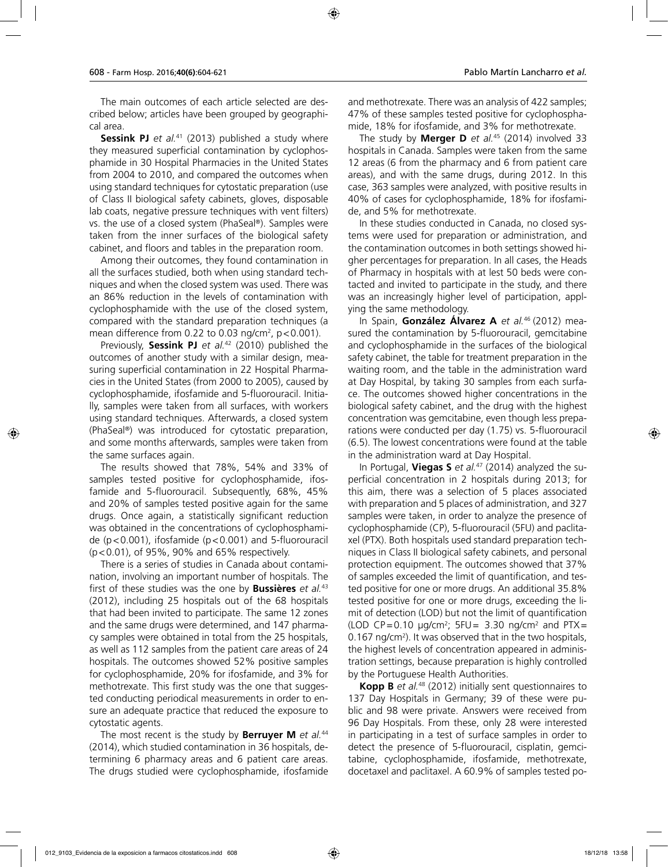The main outcomes of each article selected are described below; articles have been grouped by geographical area.

**Sessink PJ** et al.<sup>41</sup> (2013) published a study where they measured superficial contamination by cyclophosphamide in 30 Hospital Pharmacies in the United States from 2004 to 2010, and compared the outcomes when using standard techniques for cytostatic preparation (use of Class II biological safety cabinets, gloves, disposable lab coats, negative pressure techniques with vent filters) vs. the use of a closed system (PhaSeal®). Samples were taken from the inner surfaces of the biological safety cabinet, and floors and tables in the preparation room.

Among their outcomes, they found contamination in all the surfaces studied, both when using standard techniques and when the closed system was used. There was an 86% reduction in the levels of contamination with cyclophosphamide with the use of the closed system, compared with the standard preparation techniques (a mean difference from 0.22 to 0.03 ng/cm<sup>2</sup>,  $p$  < 0.001).

Previously, **Sessink PJ** *et al.*42 (2010) published the outcomes of another study with a similar design, measuring superficial contamination in 22 Hospital Pharmacies in the United States (from 2000 to 2005), caused by cyclophosphamide, ifosfamide and 5-fluorouracil. Initially, samples were taken from all surfaces, with workers using standard techniques. Afterwards, a closed system (PhaSeal®) was introduced for cytostatic preparation, and some months afterwards, samples were taken from the same surfaces again.

The results showed that 78%, 54% and 33% of samples tested positive for cyclophosphamide, ifosfamide and 5-fluorouracil. Subsequently, 68%, 45% and 20% of samples tested positive again for the same drugs. Once again, a statistically significant reduction was obtained in the concentrations of cyclophosphamide (p<0.001), ifosfamide (p<0.001) and 5-fluorouracil (p<0.01), of 95%, 90% and 65% respectively.

There is a series of studies in Canada about contamination, involving an important number of hospitals. The first of these studies was the one by **Bussières** *et al.*<sup>43</sup> (2012), including 25 hospitals out of the 68 hospitals that had been invited to participate. The same 12 zones and the same drugs were determined, and 147 pharmacy samples were obtained in total from the 25 hospitals, as well as 112 samples from the patient care areas of 24 hospitals. The outcomes showed 52% positive samples for cyclophosphamide, 20% for ifosfamide, and 3% for methotrexate. This first study was the one that suggested conducting periodical measurements in order to ensure an adequate practice that reduced the exposure to cytostatic agents.

The most recent is the study by **Berruyer M** *et al.*<sup>44</sup> (2014), which studied contamination in 36 hospitals, determining 6 pharmacy areas and 6 patient care areas. The drugs studied were cyclophosphamide, ifosfamide

and methotrexate. There was an analysis of 422 samples; 47% of these samples tested positive for cyclophosphamide, 18% for ifosfamide, and 3% for methotrexate.

The study by **Merger D** *et al.*45 (2014) involved 33 hospitals in Canada. Samples were taken from the same 12 areas (6 from the pharmacy and 6 from patient care areas), and with the same drugs, during 2012. In this case, 363 samples were analyzed, with positive results in 40% of cases for cyclophosphamide, 18% for ifosfamide, and 5% for methotrexate.

In these studies conducted in Canada, no closed systems were used for preparation or administration, and the contamination outcomes in both settings showed higher percentages for preparation. In all cases, the Heads of Pharmacy in hospitals with at lest 50 beds were contacted and invited to participate in the study, and there was an increasingly higher level of participation, applying the same methodology.

In Spain, **González Álvarez A** *et al.*46 (2012) measured the contamination by 5-fluorouracil, gemcitabine and cyclophosphamide in the surfaces of the biological safety cabinet, the table for treatment preparation in the waiting room, and the table in the administration ward at Day Hospital, by taking 30 samples from each surface. The outcomes showed higher concentrations in the biological safety cabinet, and the drug with the highest concentration was gemcitabine, even though less preparations were conducted per day (1.75) vs. 5-fluorouracil (6.5). The lowest concentrations were found at the table in the administration ward at Day Hospital.

In Portugal, **Viegas S** *et al.*47 (2014) analyzed the superficial concentration in 2 hospitals during 2013; for this aim, there was a selection of 5 places associated with preparation and 5 places of administration, and 327 samples were taken, in order to analyze the presence of cyclophosphamide (CP), 5-fluorouracil (5FU) and paclitaxel (PTX). Both hospitals used standard preparation techniques in Class II biological safety cabinets, and personal protection equipment. The outcomes showed that 37% of samples exceeded the limit of quantification, and tested positive for one or more drugs. An additional 35.8% tested positive for one or more drugs, exceeding the limit of detection (LOD) but not the limit of quantification (LOD CP=0.10  $\mu$ g/cm<sup>2</sup>; 5FU= 3.30 ng/cm<sup>2</sup> and PTX= 0.167 ng/cm<sup>2</sup>). It was observed that in the two hospitals, the highest levels of concentration appeared in administration settings, because preparation is highly controlled by the Portuguese Health Authorities.

**Kopp B** *et al.*48 (2012) initially sent questionnaires to 137 Day Hospitals in Germany; 39 of these were public and 98 were private. Answers were received from 96 Day Hospitals. From these, only 28 were interested in participating in a test of surface samples in order to detect the presence of 5-fluorouracil, cisplatin, gemcitabine, cyclophosphamide, ifosfamide, methotrexate, docetaxel and paclitaxel. A 60.9% of samples tested po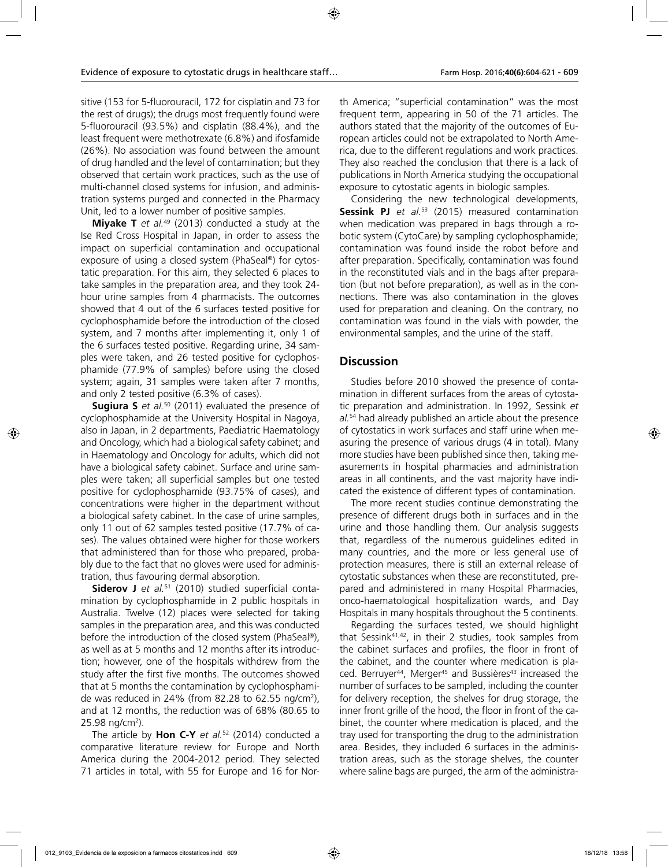sitive (153 for 5-fluorouracil, 172 for cisplatin and 73 for the rest of drugs); the drugs most frequently found were 5-fluorouracil (93.5%) and cisplatin (88.4%), and the least frequent were methotrexate (6.8%) and ifosfamide (26%). No association was found between the amount of drug handled and the level of contamination; but they observed that certain work practices, such as the use of multi-channel closed systems for infusion, and administration systems purged and connected in the Pharmacy Unit, led to a lower number of positive samples.

**Miyake T** *et al.*49 (2013) conducted a study at the Ise Red Cross Hospital in Japan, in order to assess the impact on superficial contamination and occupational exposure of using a closed system (PhaSeal®) for cytostatic preparation. For this aim, they selected 6 places to take samples in the preparation area, and they took 24 hour urine samples from 4 pharmacists. The outcomes showed that 4 out of the 6 surfaces tested positive for cyclophosphamide before the introduction of the closed system, and 7 months after implementing it, only 1 of the 6 surfaces tested positive. Regarding urine, 34 samples were taken, and 26 tested positive for cyclophosphamide (77.9% of samples) before using the closed system; again, 31 samples were taken after 7 months, and only 2 tested positive (6.3% of cases).

**Sugiura S** *et al.*50 (2011) evaluated the presence of cyclophosphamide at the University Hospital in Nagoya, also in Japan, in 2 departments, Paediatric Haematology and Oncology, which had a biological safety cabinet; and in Haematology and Oncology for adults, which did not have a biological safety cabinet. Surface and urine samples were taken; all superficial samples but one tested positive for cyclophosphamide (93.75% of cases), and concentrations were higher in the department without a biological safety cabinet. In the case of urine samples, only 11 out of 62 samples tested positive (17.7% of cases). The values obtained were higher for those workers that administered than for those who prepared, probably due to the fact that no gloves were used for administration, thus favouring dermal absorption.

**Siderov J** *et al.*51 (2010) studied superficial contamination by cyclophosphamide in 2 public hospitals in Australia. Twelve (12) places were selected for taking samples in the preparation area, and this was conducted before the introduction of the closed system (PhaSeal®), as well as at 5 months and 12 months after its introduction; however, one of the hospitals withdrew from the study after the first five months. The outcomes showed that at 5 months the contamination by cyclophosphamide was reduced in 24% (from 82.28 to 62.55 ng/cm2 ), and at 12 months, the reduction was of 68% (80.65 to 25.98 ng/cm<sup>2</sup>).

The article by **Hon C-Y** *et al.*52 (2014) conducted a comparative literature review for Europe and North America during the 2004-2012 period. They selected 71 articles in total, with 55 for Europe and 16 for North America; "superficial contamination" was the most frequent term, appearing in 50 of the 71 articles. The authors stated that the majority of the outcomes of European articles could not be extrapolated to North America, due to the different regulations and work practices. They also reached the conclusion that there is a lack of publications in North America studying the occupational exposure to cytostatic agents in biologic samples.

Considering the new technological developments, **Sessink PJ** et al.<sup>53</sup> (2015) measured contamination when medication was prepared in bags through a robotic system (CytoCare) by sampling cyclophosphamide; contamination was found inside the robot before and after preparation. Specifically, contamination was found in the reconstituted vials and in the bags after preparation (but not before preparation), as well as in the connections. There was also contamination in the gloves used for preparation and cleaning. On the contrary, no contamination was found in the vials with powder, the environmental samples, and the urine of the staff.

## **Discussion**

Studies before 2010 showed the presence of contamination in different surfaces from the areas of cytostatic preparation and administration. In 1992, Sessink *et al.*54 had already published an article about the presence of cytostatics in work surfaces and staff urine when measuring the presence of various drugs (4 in total). Many more studies have been published since then, taking measurements in hospital pharmacies and administration areas in all continents, and the vast majority have indicated the existence of different types of contamination.

The more recent studies continue demonstrating the presence of different drugs both in surfaces and in the urine and those handling them. Our analysis suggests that, regardless of the numerous guidelines edited in many countries, and the more or less general use of protection measures, there is still an external release of cytostatic substances when these are reconstituted, prepared and administered in many Hospital Pharmacies, onco-haematological hospitalization wards, and Day Hospitals in many hospitals throughout the 5 continents.

Regarding the surfaces tested, we should highlight that Sessink41,42, in their 2 studies, took samples from the cabinet surfaces and profiles, the floor in front of the cabinet, and the counter where medication is placed. Berruyer<sup>44</sup>, Merger<sup>45</sup> and Bussières<sup>43</sup> increased the number of surfaces to be sampled, including the counter for delivery reception, the shelves for drug storage, the inner front grille of the hood, the floor in front of the cabinet, the counter where medication is placed, and the tray used for transporting the drug to the administration area. Besides, they included 6 surfaces in the administration areas, such as the storage shelves, the counter where saline bags are purged, the arm of the administra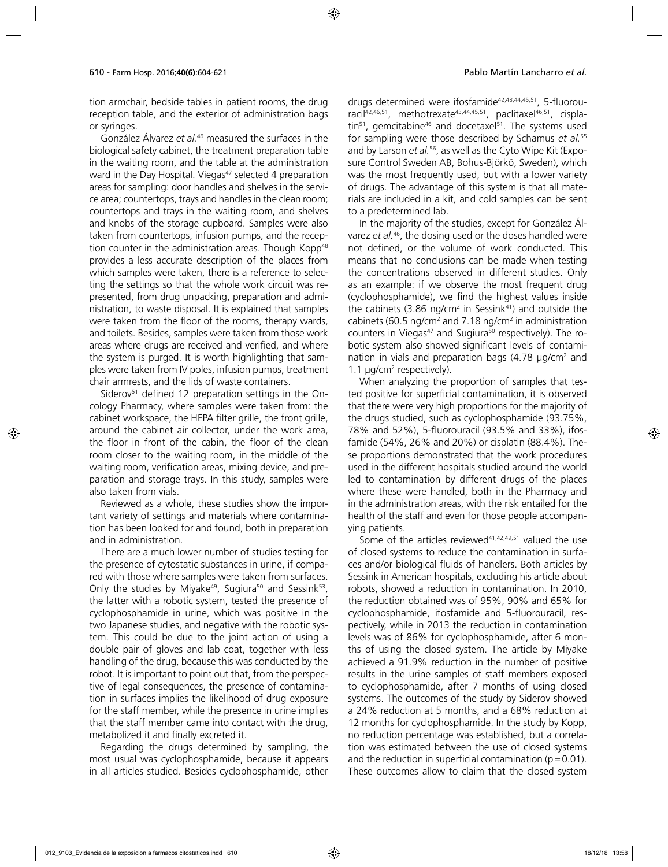tion armchair, bedside tables in patient rooms, the drug reception table, and the exterior of administration bags or syringes.

González Álvarez *et al.*46 measured the surfaces in the biological safety cabinet, the treatment preparation table in the waiting room, and the table at the administration ward in the Day Hospital. Viegas<sup>47</sup> selected 4 preparation areas for sampling: door handles and shelves in the service area; countertops, trays and handles in the clean room; countertops and trays in the waiting room, and shelves and knobs of the storage cupboard. Samples were also taken from countertops, infusion pumps, and the reception counter in the administration areas. Though Kopp<sup>48</sup> provides a less accurate description of the places from which samples were taken, there is a reference to selecting the settings so that the whole work circuit was represented, from drug unpacking, preparation and administration, to waste disposal. It is explained that samples were taken from the floor of the rooms, therapy wards, and toilets. Besides, samples were taken from those work areas where drugs are received and verified, and where the system is purged. It is worth highlighting that samples were taken from IV poles, infusion pumps, treatment chair armrests, and the lids of waste containers.

Siderov<sup>51</sup> defined 12 preparation settings in the Oncology Pharmacy, where samples were taken from: the cabinet workspace, the HEPA filter grille, the front grille, around the cabinet air collector, under the work area, the floor in front of the cabin, the floor of the clean room closer to the waiting room, in the middle of the waiting room, verification areas, mixing device, and preparation and storage trays. In this study, samples were also taken from vials.

Reviewed as a whole, these studies show the important variety of settings and materials where contamination has been looked for and found, both in preparation and in administration.

There are a much lower number of studies testing for the presence of cytostatic substances in urine, if compared with those where samples were taken from surfaces. Only the studies by Miyake<sup>49</sup>, Sugiura<sup>50</sup> and Sessink<sup>53</sup>, the latter with a robotic system, tested the presence of cyclophosphamide in urine, which was positive in the two Japanese studies, and negative with the robotic system. This could be due to the joint action of using a double pair of gloves and lab coat, together with less handling of the drug, because this was conducted by the robot. It is important to point out that, from the perspective of legal consequences, the presence of contamination in surfaces implies the likelihood of drug exposure for the staff member, while the presence in urine implies that the staff member came into contact with the drug, metabolized it and finally excreted it.

Regarding the drugs determined by sampling, the most usual was cyclophosphamide, because it appears in all articles studied. Besides cyclophosphamide, other drugs determined were ifosfamide<sup>42,43,44,45,51</sup>, 5-fluorouracil<sup>42,46,51</sup>, methotrexate<sup>43,44,45,51</sup>, paclitaxel<sup>46,51</sup>, cispla- $\text{tin}^{51}$ , gemcitabine<sup>46</sup> and docetaxel<sup>51</sup>. The systems used for sampling were those described by Schamus *et al.*<sup>55</sup> and by Larson *et al.*56, as well as the Cyto Wipe Kit (Exposure Control Sweden AB, Bohus-Björkö, Sweden), which was the most frequently used, but with a lower variety of drugs. The advantage of this system is that all materials are included in a kit, and cold samples can be sent to a predetermined lab.

In the majority of the studies, except for González Álvarez *et al.*46, the dosing used or the doses handled were not defined, or the volume of work conducted. This means that no conclusions can be made when testing the concentrations observed in different studies. Only as an example: if we observe the most frequent drug (cyclophosphamide), we find the highest values inside the cabinets (3.86 ng/cm<sup>2</sup> in Sessink<sup>41</sup>) and outside the cabinets (60.5 ng/cm<sup>2</sup> and 7.18 ng/cm<sup>2</sup> in administration counters in Viegas<sup>47</sup> and Sugiura<sup>50</sup> respectively). The robotic system also showed significant levels of contamination in vials and preparation bags (4.78  $\mu$ g/cm $^2$  and  $1.1 \mu g/cm^2$  respectively).

When analyzing the proportion of samples that tested positive for superficial contamination, it is observed that there were very high proportions for the majority of the drugs studied, such as cyclophosphamide (93.75%, 78% and 52%), 5-fluorouracil (93.5% and 33%), ifosfamide (54%, 26% and 20%) or cisplatin (88.4%). These proportions demonstrated that the work procedures used in the different hospitals studied around the world led to contamination by different drugs of the places where these were handled, both in the Pharmacy and in the administration areas, with the risk entailed for the health of the staff and even for those people accompanying patients.

Some of the articles reviewed $41,42,49,51$  valued the use of closed systems to reduce the contamination in surfaces and/or biological fluids of handlers. Both articles by Sessink in American hospitals, excluding his article about robots, showed a reduction in contamination. In 2010, the reduction obtained was of 95%, 90% and 65% for cyclophosphamide, ifosfamide and 5-fluorouracil, respectively, while in 2013 the reduction in contamination levels was of 86% for cyclophosphamide, after 6 months of using the closed system. The article by Miyake achieved a 91.9% reduction in the number of positive results in the urine samples of staff members exposed to cyclophosphamide, after 7 months of using closed systems. The outcomes of the study by Siderov showed a 24% reduction at 5 months, and a 68% reduction at 12 months for cyclophosphamide. In the study by Kopp, no reduction percentage was established, but a correlation was estimated between the use of closed systems and the reduction in superficial contamination ( $p=0.01$ ). These outcomes allow to claim that the closed system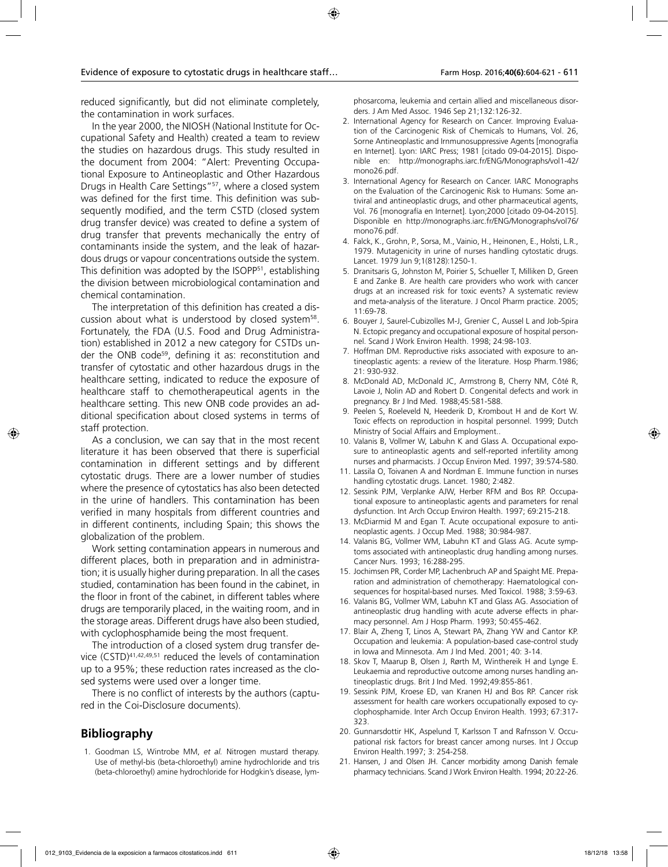reduced significantly, but did not eliminate completely, the contamination in work surfaces.

In the year 2000, the NIOSH (National Institute for Occupational Safety and Health) created a team to review the studies on hazardous drugs. This study resulted in the document from 2004: "Alert: Preventing Occupational Exposure to Antineoplastic and Other Hazardous Drugs in Health Care Settings"<sup>57</sup>, where a closed system was defined for the first time. This definition was subsequently modified, and the term CSTD (closed system drug transfer device) was created to define a system of drug transfer that prevents mechanically the entry of contaminants inside the system, and the leak of hazardous drugs or vapour concentrations outside the system. This definition was adopted by the ISOPP<sup>51</sup>, establishing the division between microbiological contamination and chemical contamination.

The interpretation of this definition has created a discussion about what is understood by closed system<sup>58</sup>. Fortunately, the FDA (U.S. Food and Drug Administration) established in 2012 a new category for CSTDs under the ONB code<sup>59</sup>, defining it as: reconstitution and transfer of cytostatic and other hazardous drugs in the healthcare setting, indicated to reduce the exposure of healthcare staff to chemotherapeutical agents in the healthcare setting. This new ONB code provides an additional specification about closed systems in terms of staff protection.

As a conclusion, we can say that in the most recent literature it has been observed that there is superficial contamination in different settings and by different cytostatic drugs. There are a lower number of studies where the presence of cytostatics has also been detected in the urine of handlers. This contamination has been verified in many hospitals from different countries and in different continents, including Spain; this shows the globalization of the problem.

Work setting contamination appears in numerous and different places, both in preparation and in administration; it is usually higher during preparation. In all the cases studied, contamination has been found in the cabinet, in the floor in front of the cabinet, in different tables where drugs are temporarily placed, in the waiting room, and in the storage areas. Different drugs have also been studied, with cyclophosphamide being the most frequent.

The introduction of a closed system drug transfer device (CSTD)41,42,49,51 reduced the levels of contamination up to a 95%; these reduction rates increased as the closed systems were used over a longer time.

There is no conflict of interests by the authors (captured in the Coi-Disclosure documents).

## **Bibliography**

1. Goodman LS, Wintrobe MM, *et al.* Nitrogen mustard therapy. Use of methyl-bis (beta-chloroethyl) amine hydrochloride and tris (beta-chloroethyl) amine hydrochloride for Hodgkin's disease, lymphosarcoma, leukemia and certain allied and miscellaneous disorders. J Am Med Assoc. 1946 Sep 21;132:126-32.

- 2. International Agency for Research on Cancer. Improving Evaluation of the Carcinogenic Risk of Chemicals to Humans, Vol. 26, Sorne Antineoplastic and Irnmunosuppressive Agents [monografía en Internet]. Lyon: IARC Press; 1981 [citado 09-04-2015]. Disponible en: http://monographs.iarc.fr/ENG/Monographs/vol1-42/ mono26.pdf.
- 3. International Agency for Research on Cancer. IARC Monographs on the Evaluation of the Carcinogenic Risk to Humans: Some antiviral and antineoplastic drugs, and other pharmaceutical agents, Vol. 76 [monografía en Internet]. Lyon;2000 [citado 09-04-2015]. Disponible en http://monographs.iarc.fr/ENG/Monographs/vol76/ mono76.pdf.
- 4. Falck, K., Grohn, P., Sorsa, M., Vainio, H., Heinonen, E., Holsti, L.R., 1979. Mutagenicity in urine of nurses handling cytostatic drugs. Lancet. 1979 Jun 9;1(8128):1250-1.
- 5. Dranitsaris G, Johnston M, Poirier S, Schueller T, Milliken D, Green E and Zanke B. Are health care providers who work with cancer drugs at an increased risk for toxic events? A systematic review and meta-analysis of the literature. J Oncol Pharm practice. 2005; 11:69-78.
- 6. Bouyer J, Saurel-Cubizolles M-J, Grenier C, Aussel L and Job-Spira N. Ectopic pregancy and occupational exposure of hospital personnel. Scand J Work Environ Health. 1998; 24:98-103.
- 7. Hoffman DM. Reproductive risks associated with exposure to antineoplastic agents: a review of the literature. Hosp Pharm.1986; 21: 930-932.
- 8. McDonald AD, McDonald JC, Armstrong B, Cherry NM, Côté R, Lavoie J, Nolin AD and Robert D. Congenital defects and work in pregnancy. Br J Ind Med. 1988;45:581-588.
- 9. Peelen S, Roeleveld N, Heederik D, Krombout H and de Kort W. Toxic effects on reproduction in hospital personnel. 1999; Dutch Ministry of Social Affairs and Employment..
- 10. Valanis B, Vollmer W, Labuhn K and Glass A. Occupational exposure to antineoplastic agents and self-reported infertility among nurses and pharmacists. J Occup Environ Med. 1997; 39:574-580.
- 11. Lassila O, Toivanen A and Nordman E. Immune function in nurses handling cytostatic drugs. Lancet. 1980; 2:482.
- 12. Sessink PJM, Verplanke AJW, Herber RFM and Bos RP. Occupational exposure to antineoplastic agents and parameters for renal dysfunction. Int Arch Occup Environ Health. 1997; 69:215-218.
- 13. McDiarmid M and Egan T. Acute occupational exposure to antineoplastic agents. J Occup Med. 1988; 30:984-987.
- 14. Valanis BG, Vollmer WM, Labuhn KT and Glass AG. Acute symptoms associated with antineoplastic drug handling among nurses. Cancer Nurs. 1993; 16:288-295.
- 15. Jochimsen PR, Corder MP, Lachenbruch AP and Spaight ME. Preparation and administration of chemotherapy: Haematological consequences for hospital-based nurses. Med Toxicol. 1988; 3:59-63.
- 16. Valanis BG, Vollmer WM, Labuhn KT and Glass AG. Association of antineoplastic drug handling with acute adverse effects in pharmacy personnel. Am J Hosp Pharm. 1993; 50:455-462.
- 17. Blair A, Zheng T, Linos A, Stewart PA, Zhang YW and Cantor KP. Occupation and leukemia: A population-based case-control study in Iowa and Minnesota. Am J Ind Med. 2001; 40: 3-14.
- 18. Skov T, Maarup B, Olsen J, Rørth M, Winthereik H and Lynge E. Leukaemia and reproductive outcome among nurses handling antineoplastic drugs. Brit J Ind Med. 1992;49:855-861.
- 19. Sessink PJM, Kroese ED, van Kranen HJ and Bos RP. Cancer risk assessment for health care workers occupationally exposed to cyclophosphamide. Inter Arch Occup Environ Health. 1993; 67:317- 323.
- 20. Gunnarsdottir HK, Aspelund T, Karlsson T and Rafnsson V. Occupational risk factors for breast cancer among nurses. Int J Occup Environ Health.1997; 3: 254-258.
- 21. Hansen, J and Olsen JH. Cancer morbidity among Danish female pharmacy technicians. Scand J Work Environ Health. 1994; 20:22-26.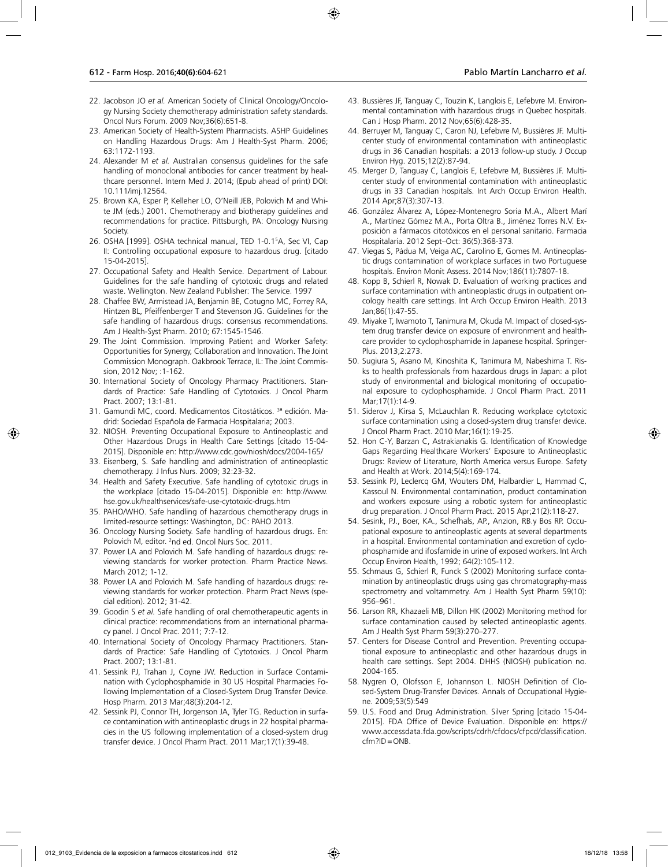- 22. Jacobson JO *et al.* American Society of Clinical Oncology/Oncology Nursing Society chemotherapy administration safety standards. Oncol Nurs Forum. 2009 Nov;36(6):651-8.
- 23. American Society of Health-System Pharmacists. ASHP Guidelines on Handling Hazardous Drugs: Am J Health-Syst Pharm. 2006; 63:1172-1193.
- 24. Alexander M *et al.* Australian consensus guidelines for the safe handling of monoclonal antibodies for cancer treatment by healthcare personnel. Intern Med J. 2014; (Epub ahead of print) DOI: 10.111/imj.12564.
- 25. Brown KA, Esper P, Kelleher LO, O'Neill JEB, Polovich M and White JM (eds.) 2001. Chemotherapy and biotherapy guidelines and recommendations for practice. Pittsburgh, PA: Oncology Nursing Society.
- 26. OSHA [1999]. OSHA technical manual, TED 1-0.15 A, Sec VI, Cap II: Controlling occupational exposure to hazardous drug. [citado 15-04-2015].
- 27. Occupational Safety and Health Service. Department of Labour. Guidelines for the safe handling of cytotoxic drugs and related waste. Wellington. New Zealand Publisher: The Service. 1997
- 28. Chaffee BW, Armistead JA, Benjamin BE, Cotugno MC, Forrey RA, Hintzen BL, Pfeiffenberger T and Stevenson JG. Guidelines for the safe handling of hazardous drugs: consensus recommendations. Am J Health-Syst Pharm. 2010; 67:1545-1546.
- 29. The Joint Commission. Improving Patient and Worker Safety: Opportunities for Synergy, Collaboration and Innovation. The Joint Commission Monograph. Oakbrook Terrace, IL: The Joint Commission, 2012 Nov; :1-162.
- 30. International Society of Oncology Pharmacy Practitioners. Standards of Practice: Safe Handling of Cytotoxics. J Oncol Pharm Pract. 2007; 13:1-81.
- 31. Gamundi MC, coord. Medicamentos Citostáticos. 3 ª edición. Madrid: Sociedad Española de Farmacia Hospitalaria; 2003.
- 32. NIOSH. Preventing Occupational Exposure to Antineoplastic and Other Hazardous Drugs in Health Care Settings [citado 15-04- 2015]. Disponible en: http://www.cdc.gov/niosh/docs/2004-165/
- 33. Eisenberg, S. Safe handling and administration of antineoplastic chemotherapy. J Infus Nurs. 2009; 32:23-32.
- 34. Health and Safety Executive. Safe handling of cytotoxic drugs in the workplace [citado 15-04-2015]. Disponible en: http://www. hse.gov.uk/healthservices/safe-use-cytotoxic-drugs.htm
- 35. PAHO/WHO. Safe handling of hazardous chemotherapy drugs in limited-resource settings: Washington, DC: PAHO 2013.
- 36. Oncology Nursing Society. Safe handling of hazardous drugs. En: Polovich M, editor. <sup>2</sup>nd ed. Oncol Nurs Soc. 2011.
- 37. Power LA and Polovich M. Safe handling of hazardous drugs: reviewing standards for worker protection. Pharm Practice News. March 2012; 1-12.
- 38. Power LA and Polovich M. Safe handling of hazardous drugs: reviewing standards for worker protection. Pharm Pract News (special edition). 2012; 31-42.
- 39. Goodin S *et al.* Safe handling of oral chemotherapeutic agents in clinical practice: recommendations from an international pharmacy panel. J Oncol Prac. 2011; 7:7-12.
- 40. International Society of Oncology Pharmacy Practitioners. Standards of Practice: Safe Handling of Cytotoxics. J Oncol Pharm Pract. 2007; 13:1-81.
- 41. Sessink PJ, Trahan J, Coyne JW. Reduction in Surface Contamination with Cyclophosphamide in 30 US Hospital Pharmacies Following Implementation of a Closed-System Drug Transfer Device. Hosp Pharm. 2013 Mar;48(3):204-12.
- 42. Sessink PJ, Connor TH, Jorgenson JA, Tyler TG. Reduction in surface contamination with antineoplastic drugs in 22 hospital pharmacies in the US following implementation of a closed-system drug transfer device. J Oncol Pharm Pract. 2011 Mar;17(1):39-48.
- 43. Bussières JF, Tanguay C, Touzin K, Langlois E, Lefebvre M. Environmental contamination with hazardous drugs in Quebec hospitals. Can J Hosp Pharm. 2012 Nov;65(6):428-35.
- 44. Berruyer M, Tanguay C, Caron NJ, Lefebvre M, Bussières JF. Multicenter study of environmental contamination with antineoplastic drugs in 36 Canadian hospitals: a 2013 follow-up study. J Occup Environ Hyg. 2015;12(2):87-94.
- 45. Merger D, Tanguay C, Langlois E, Lefebvre M, Bussières JF. Multicenter study of environmental contamination with antineoplastic drugs in 33 Canadian hospitals. Int Arch Occup Environ Health. 2014 Apr;87(3):307-13.
- 46. González Álvarez A, López-Montenegro Soria M.A., Albert Marí A., Martínez Gómez M.A., Porta Oltra B., Jiménez Torres N.V. Exposición a fármacos citotóxicos en el personal sanitario. Farmacia Hospitalaria. 2012 Sept–Oct: 36(5):368-373.
- 47. Viegas S, Pádua M, Veiga AC, Carolino E, Gomes M. Antineoplastic drugs contamination of workplace surfaces in two Portuguese hospitals. Environ Monit Assess. 2014 Nov;186(11):7807-18.
- 48. Kopp B, Schierl R, Nowak D. Evaluation of working practices and surface contamination with antineoplastic drugs in outpatient oncology health care settings. Int Arch Occup Environ Health. 2013 Jan;86(1):47-55.
- 49. Miyake T, Iwamoto T, Tanimura M, Okuda M. Impact of closed-system drug transfer device on exposure of environment and healthcare provider to cyclophosphamide in Japanese hospital. Springer-Plus. 2013;2:273.
- 50. Sugiura S, Asano M, Kinoshita K, Tanimura M, Nabeshima T. Risks to health professionals from hazardous drugs in Japan: a pilot study of environmental and biological monitoring of occupational exposure to cyclophosphamide. J Oncol Pharm Pract. 2011 Mar;17(1):14-9.
- 51. Siderov J, Kirsa S, McLauchlan R. Reducing workplace cytotoxic surface contamination using a closed-system drug transfer device. J Oncol Pharm Pract. 2010 Mar;16(1):19-25.
- 52. Hon C-Y, Barzan C, Astrakianakis G. Identification of Knowledge Gaps Regarding Healthcare Workers' Exposure to Antineoplastic Drugs: Review of Literature, North America versus Europe. Safety and Health at Work. 2014;5(4):169-174.
- 53. Sessink PJ, Leclercq GM, Wouters DM, Halbardier L, Hammad C, Kassoul N. Environmental contamination, product contamination and workers exposure using a robotic system for antineoplastic drug preparation. J Oncol Pharm Pract. 2015 Apr;21(2):118-27.
- 54. Sesink, PJ., Boer, KA., Schefhals, AP., Anzion, RB.y Bos RP. Occupational exposure to antineoplastic agents at several departments in a hospital. Environmental contamination and excretion of cyclophosphamide and ifosfamide in urine of exposed workers. Int Arch Occup Environ Health, 1992; 64(2):105-112.
- 55. Schmaus G, Schierl R, Funck S (2002) Monitoring surface contamination by antineoplastic drugs using gas chromatography-mass spectrometry and voltammetry. Am J Health Syst Pharm 59(10): 956–961.
- 56. Larson RR, Khazaeli MB, Dillon HK (2002) Monitoring method for surface contamination caused by selected antineoplastic agents. Am J Health Syst Pharm 59(3):270–277.
- 57. Centers for Disease Control and Prevention. Preventing occupational exposure to antineoplastic and other hazardous drugs in health care settings. Sept 2004. DHHS (NIOSH) publication no. 2004-165.
- 58. Nygren O, Olofsson E, Johannson L. NIOSH Definition of Closed-System Drug-Transfer Devices. Annals of Occupational Hygiene. 2009;53(5):549
- 59. U.S. Food and Drug Administration. Silver Spring [citado 15-04- 2015]. FDA Office of Device Evaluation. Disponible en: https:// www.accessdata.fda.gov/scripts/cdrh/cfdocs/cfpcd/classification. cfm?ID=ONB.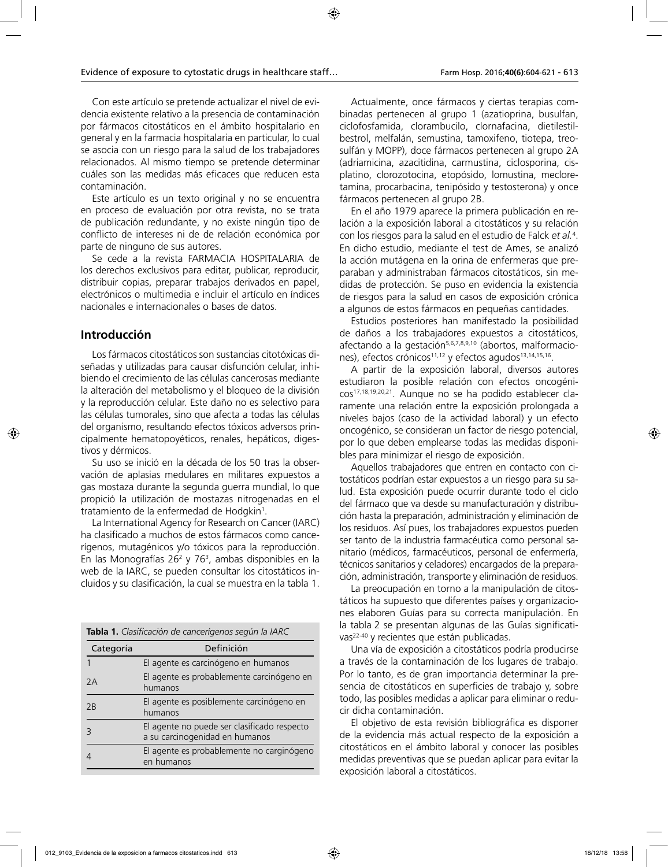Con este artículo se pretende actualizar el nivel de evidencia existente relativo a la presencia de contaminación por fármacos citostáticos en el ámbito hospitalario en general y en la farmacia hospitalaria en particular, lo cual se asocia con un riesgo para la salud de los trabajadores relacionados. Al mismo tiempo se pretende determinar cuáles son las medidas más eficaces que reducen esta contaminación.

Este artículo es un texto original y no se encuentra en proceso de evaluación por otra revista, no se trata de publicación redundante, y no existe ningún tipo de conflicto de intereses ni de de relación económica por parte de ninguno de sus autores.

Se cede a la revista FARMACIA HOSPITALARIA de los derechos exclusivos para editar, publicar, reproducir, distribuir copias, preparar trabajos derivados en papel, electrónicos o multimedia e incluir el artículo en índices nacionales e internacionales o bases de datos.

## **Introducción**

Los fármacos citostáticos son sustancias citotóxicas diseñadas y utilizadas para causar disfunción celular, inhibiendo el crecimiento de las células cancerosas mediante la alteración del metabolismo y el bloqueo de la división y la reproducción celular. Este daño no es selectivo para las células tumorales, sino que afecta a todas las células del organismo, resultando efectos tóxicos adversos principalmente hematopoyéticos, renales, hepáticos, digestivos y dérmicos.

Su uso se inició en la década de los 50 tras la observación de aplasias medulares en militares expuestos a gas mostaza durante la segunda guerra mundial, lo que propició la utilización de mostazas nitrogenadas en el tratamiento de la enfermedad de Hodgkin<sup>1</sup>.

La International Agency for Research on Cancer (IARC) ha clasificado a muchos de estos fármacos como cancerígenos, mutagénicos y/o tóxicos para la reproducción. En las Monografías 26<sup>2</sup> y 76<sup>3</sup>, ambas disponibles en la web de la IARC, se pueden consultar los citostáticos incluidos y su clasificación, la cual se muestra en la tabla 1.

|           | Tabla 1. Clasificación de cancerígenos según la IARC                          |
|-----------|-------------------------------------------------------------------------------|
| Categoría | Definición                                                                    |
|           | El agente es carcinógeno en humanos                                           |
| 2Α        | El agente es probablemente carcinógeno en<br>humanos                          |
| 2B        | El agente es posiblemente carcinógeno en<br>humanos                           |
| З         | El agente no puede ser clasificado respecto<br>a su carcinogenidad en humanos |
|           | El agente es probablemente no carginógeno<br>en humanos                       |

Actualmente, once fármacos y ciertas terapias combinadas pertenecen al grupo 1 (azatioprina, busulfan, ciclofosfamida, clorambucilo, clornafacina, dietilestilbestrol, melfalán, semustina, tamoxifeno, tiotepa, treosulfán y MOPP), doce fármacos pertenecen al grupo 2A (adriamicina, azacitidina, carmustina, ciclosporina, cisplatino, clorozotocina, etopósido, lomustina, mecloretamina, procarbacina, tenipósido y testosterona) y once fármacos pertenecen al grupo 2B.

En el año 1979 aparece la primera publicación en relación a la exposición laboral a citostáticos y su relación con los riesgos para la salud en el estudio de Falck *et al.*<sup>4</sup> . En dicho estudio, mediante el test de Ames, se analizó la acción mutágena en la orina de enfermeras que preparaban y administraban fármacos citostáticos, sin medidas de protección. Se puso en evidencia la existencia de riesgos para la salud en casos de exposición crónica a algunos de estos fármacos en pequeñas cantidades.

Estudios posteriores han manifestado la posibilidad de daños a los trabajadores expuestos a citostáticos, afectando a la gestación<sup>5,6,7,8,9,10</sup> (abortos, malformaciones), efectos crónicos<sup>11,12</sup> y efectos agudos<sup>13,14,15,16</sup>.

A partir de la exposición laboral, diversos autores estudiaron la posible relación con efectos oncogénicos17,18,19,20,21. Aunque no se ha podido establecer claramente una relación entre la exposición prolongada a niveles bajos (caso de la actividad laboral) y un efecto oncogénico, se consideran un factor de riesgo potencial, por lo que deben emplearse todas las medidas disponibles para minimizar el riesgo de exposición.

Aquellos trabajadores que entren en contacto con citostáticos podrían estar expuestos a un riesgo para su salud. Esta exposición puede ocurrir durante todo el ciclo del fármaco que va desde su manufacturación y distribución hasta la preparación, administración y eliminación de los residuos. Así pues, los trabajadores expuestos pueden ser tanto de la industria farmacéutica como personal sanitario (médicos, farmacéuticos, personal de enfermería, técnicos sanitarios y celadores) encargados de la preparación, administración, transporte y eliminación de residuos.

La preocupación en torno a la manipulación de citostáticos ha supuesto que diferentes países y organizaciones elaboren Guías para su correcta manipulación. En la tabla 2 se presentan algunas de las Guías significativas<sup>22-40</sup> y recientes que están publicadas.

Una vía de exposición a citostáticos podría producirse a través de la contaminación de los lugares de trabajo. Por lo tanto, es de gran importancia determinar la presencia de citostáticos en superficies de trabajo y, sobre todo, las posibles medidas a aplicar para eliminar o reducir dicha contaminación.

El objetivo de esta revisión bibliográfica es disponer de la evidencia más actual respecto de la exposición a citostáticos en el ámbito laboral y conocer las posibles medidas preventivas que se puedan aplicar para evitar la exposición laboral a citostáticos.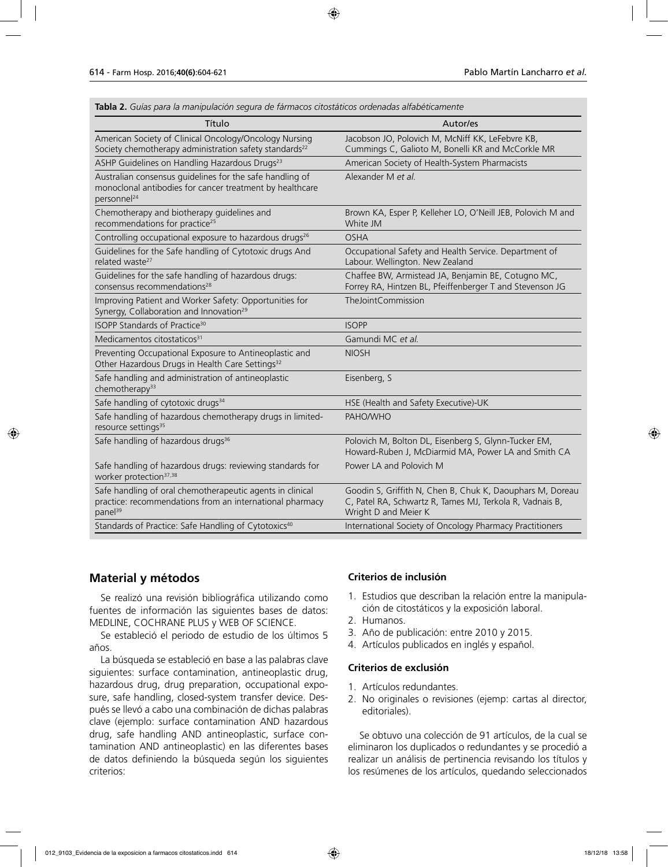**Tabla 2.** *Guías para la manipulación segura de fármacos citostáticos ordenadas alfabéticamente*

| Título                                                                                                                                          | Autor/es                                                                                                                                      |
|-------------------------------------------------------------------------------------------------------------------------------------------------|-----------------------------------------------------------------------------------------------------------------------------------------------|
| American Society of Clinical Oncology/Oncology Nursing<br>Society chemotherapy administration safety standards <sup>22</sup>                    | Jacobson JO, Polovich M, McNiff KK, LeFebvre KB,<br>Cummings C, Galioto M, Bonelli KR and McCorkle MR                                         |
| ASHP Guidelines on Handling Hazardous Drugs <sup>23</sup>                                                                                       | American Society of Health-System Pharmacists                                                                                                 |
| Australian consensus guidelines for the safe handling of<br>monoclonal antibodies for cancer treatment by healthcare<br>personnel <sup>24</sup> | Alexander M et al.                                                                                                                            |
| Chemotherapy and biotherapy guidelines and<br>recommendations for practice <sup>25</sup>                                                        | Brown KA, Esper P, Kelleher LO, O'Neill JEB, Polovich M and<br>White JM                                                                       |
| Controlling occupational exposure to hazardous drugs <sup>26</sup>                                                                              | <b>OSHA</b>                                                                                                                                   |
| Guidelines for the Safe handling of Cytotoxic drugs And<br>related waste <sup>27</sup>                                                          | Occupational Safety and Health Service. Department of<br>Labour. Wellington. New Zealand                                                      |
| Guidelines for the safe handling of hazardous drugs:<br>consensus recommendations <sup>28</sup>                                                 | Chaffee BW, Armistead JA, Benjamin BE, Cotugno MC,<br>Forrey RA, Hintzen BL, Pfeiffenberger T and Stevenson JG                                |
| Improving Patient and Worker Safety: Opportunities for<br>Synergy, Collaboration and Innovation <sup>29</sup>                                   | TheJointCommission                                                                                                                            |
| ISOPP Standards of Practice <sup>30</sup>                                                                                                       | <b>ISOPP</b>                                                                                                                                  |
| Medicamentos citostaticos <sup>31</sup>                                                                                                         | Gamundi MC et al.                                                                                                                             |
| Preventing Occupational Exposure to Antineoplastic and<br>Other Hazardous Drugs in Health Care Settings <sup>32</sup>                           | <b>NIOSH</b>                                                                                                                                  |
| Safe handling and administration of antineoplastic<br>chemotherapy <sup>33</sup>                                                                | Eisenberg, S                                                                                                                                  |
| Safe handling of cytotoxic drugs <sup>34</sup>                                                                                                  | HSE (Health and Safety Executive)-UK                                                                                                          |
| Safe handling of hazardous chemotherapy drugs in limited-<br>resource settings <sup>35</sup>                                                    | PAHO/WHO                                                                                                                                      |
| Safe handling of hazardous drugs <sup>36</sup>                                                                                                  | Polovich M, Bolton DL, Eisenberg S, Glynn-Tucker EM,<br>Howard-Ruben J, McDiarmid MA, Power LA and Smith CA                                   |
| Safe handling of hazardous drugs: reviewing standards for<br>worker protection <sup>37,38</sup>                                                 | Power LA and Polovich M                                                                                                                       |
| Safe handling of oral chemotherapeutic agents in clinical<br>practice: recommendations from an international pharmacy<br>panel <sup>39</sup>    | Goodin S, Griffith N, Chen B, Chuk K, Daouphars M, Doreau<br>C, Patel RA, Schwartz R, Tames MJ, Terkola R, Vadnais B,<br>Wright D and Meier K |
| Standards of Practice: Safe Handling of Cytotoxics <sup>40</sup>                                                                                | International Society of Oncology Pharmacy Practitioners                                                                                      |

## **Material y métodos**

Se realizó una revisión bibliográfica utilizando como fuentes de información las siguientes bases de datos: MEDLINE, COCHRANE PLUS y WEB OF SCIENCE.

Se estableció el periodo de estudio de los últimos 5 años.

La búsqueda se estableció en base a las palabras clave siguientes: surface contamination, antineoplastic drug, hazardous drug, drug preparation, occupational exposure, safe handling, closed-system transfer device. Después se llevó a cabo una combinación de dichas palabras clave (ejemplo: surface contamination AND hazardous drug, safe handling AND antineoplastic, surface contamination AND antineoplastic) en las diferentes bases de datos definiendo la búsqueda según los siguientes criterios:

#### **Criterios de inclusión**

- 1. Estudios que describan la relación entre la manipulación de citostáticos y la exposición laboral.
- 2. Humanos.
- 3. Año de publicación: entre 2010 y 2015.
- 4. Artículos publicados en inglés y español.

#### **Criterios de exclusión**

- 1. Artículos redundantes.
- 2. No originales o revisiones (ejemp: cartas al director, editoriales).

Se obtuvo una colección de 91 artículos, de la cual se eliminaron los duplicados o redundantes y se procedió a realizar un análisis de pertinencia revisando los títulos y los resúmenes de los artículos, quedando seleccionados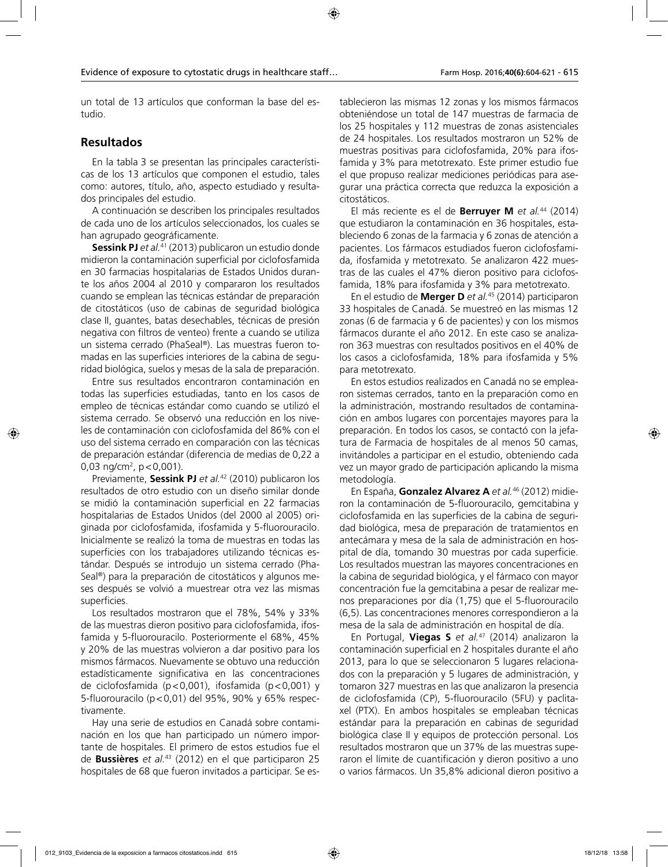un total de 13 artículos que conforman la base del estudio.

#### **Resultados**

En la tabla 3 se presentan las principales características de los 13 artículos que componen el estudio, tales como: autores, título, año, aspecto estudiado y resultados principales del estudio.

A continuación se describen los principales resultados de cada uno de los artículos seleccionados, los cuales se han agrupado geográficamente.

**Sessink PJ** *et al.*<sup>41</sup> (2013) publicaron un estudio donde midieron la contaminación superficial por ciclofosfamida en 30 farmacias hospitalarias de Estados Unidos durante los años 2004 al 2010 y compararon los resultados cuando se emplean las técnicas estándar de preparación de citostáticos (uso de cabinas de seguridad biológica clase II, guantes, batas desechables, técnicas de presión negativa con filtros de venteo) frente a cuando se utiliza un sistema cerrado (PhaSeal®). Las muestras fueron tomadas en las superficies interiores de la cabina de seguridad biológica, suelos y mesas de la sala de preparación.

Entre sus resultados encontraron contaminación en todas las superficies estudiadas, tanto en los casos de empleo de técnicas estándar como cuando se utilizó el sistema cerrado. Se observó una reducción en los niveles de contaminación con ciclofosfamida del 86% con el uso del sistema cerrado en comparación con las técnicas de preparación estándar (diferencia de medias de 0,22 a 0,03 ng/cm<sup>2</sup>, p<0,001).

Previamente, **Sessink PJ** *et al.*42 (2010) publicaron los resultados de otro estudio con un diseño similar donde se midió la contaminación superficial en 22 farmacias hospitalarias de Estados Unidos (del 2000 al 2005) originada por ciclofosfamida, ifosfamida y 5-fluorouracilo. Inicialmente se realizó la toma de muestras en todas las superficies con los trabajadores utilizando técnicas estándar. Después se introdujo un sistema cerrado (Pha-Seal®) para la preparación de citostáticos y algunos meses después se volvió a muestrear otra vez las mismas superficies.

Los resultados mostraron que el 78%, 54% y 33% de las muestras dieron positivo para ciclofosfamida, ifosfamida y 5-fluorouracilo. Posteriormente el 68%, 45% y 20% de las muestras volvieron a dar positivo para los mismos fármacos. Nuevamente se obtuvo una reducción estadísticamente significativa en las concentraciones de ciclofosfamida (p<0,001), ifosfamida (p<0,001) y 5-fluorouracilo (p<0,01) del 95%, 90% y 65% respectivamente.

Hay una serie de estudios en Canadá sobre contaminación en los que han participado un número importante de hospitales. El primero de estos estudios fue el de **Bussières** *et al.*43 (2012) en el que participaron 25 hospitales de 68 que fueron invitados a participar. Se establecieron las mismas 12 zonas y los mismos fármacos obteniéndose un total de 147 muestras de farmacia de los 25 hospitales y 112 muestras de zonas asistenciales de 24 hospitales. Los resultados mostraron un 52% de muestras positivas para ciclofosfamida, 20% para ifosfamida y 3% para metotrexato. Este primer estudio fue el que propuso realizar mediciones periódicas para asegurar una práctica correcta que reduzca la exposición a citostáticos.

El más reciente es el de **Berruyer M** *et al.*<sup>44</sup> (2014) que estudiaron la contaminación en 36 hospitales, estableciendo 6 zonas de la farmacia y 6 zonas de atención a pacientes. Los fármacos estudiados fueron ciclofosfamida, ifosfamida y metotrexato. Se analizaron 422 muestras de las cuales el 47% dieron positivo para ciclofosfamida, 18% para ifosfamida y 3% para metotrexato.

En el estudio de **Merger D** *et al.*45 (2014) participaron 33 hospitales de Canadá. Se muestreó en las mismas 12 zonas (6 de farmacia y 6 de pacientes) y con los mismos fármacos durante el año 2012. En este caso se analizaron 363 muestras con resultados positivos en el 40% de los casos a ciclofosfamida, 18% para ifosfamida y 5% para metotrexato.

En estos estudios realizados en Canadá no se emplearon sistemas cerrados, tanto en la preparación como en la administración, mostrando resultados de contaminación en ambos lugares con porcentajes mayores para la preparación. En todos los casos, se contactó con la jefatura de Farmacia de hospitales de al menos 50 camas, invitándoles a participar en el estudio, obteniendo cada vez un mayor grado de participación aplicando la misma metodología.

En España, **Gonzalez Alvarez A** *et al.*46 (2012) midieron la contaminación de 5-fluorouracilo, gemcitabina y ciclofosfamida en las superficies de la cabina de seguridad biológica, mesa de preparación de tratamientos en antecámara y mesa de la sala de administración en hospital de día, tomando 30 muestras por cada superficie. Los resultados muestran las mayores concentraciones en la cabina de seguridad biológica, y el fármaco con mayor concentración fue la gemcitabina a pesar de realizar menos preparaciones por día (1,75) que el 5-fluorouracilo (6,5). Las concentraciones menores correspondieron a la mesa de la sala de administración en hospital de día.

En Portugal, **Viegas S** *et al.*47 (2014) analizaron la contaminación superficial en 2 hospitales durante el año 2013, para lo que se seleccionaron 5 lugares relacionados con la preparación y 5 lugares de administración, y tomaron 327 muestras en las que analizaron la presencia de ciclofosfamida (CP), 5-fluorouracilo (5FU) y paclitaxel (PTX). En ambos hospitales se empleaban técnicas estándar para la preparación en cabinas de seguridad biológica clase II y equipos de protección personal. Los resultados mostraron que un 37% de las muestras superaron el límite de cuantificación y dieron positivo a uno o varios fármacos. Un 35,8% adicional dieron positivo a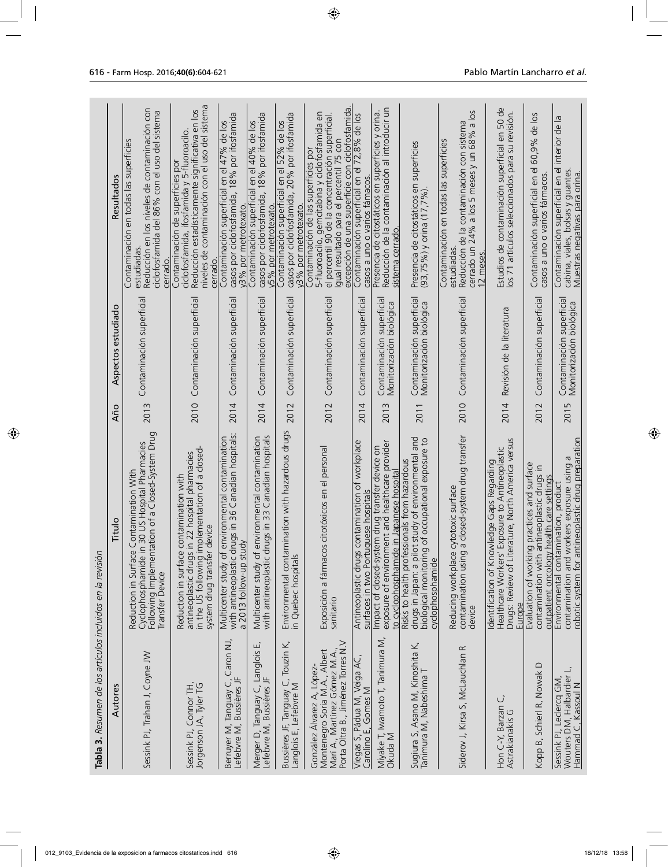| Tabla 3. Resumen de los artículos incluidos en la revisión                                                                        |                                                                                                                                                                                             |      |                                                       |                                                                                                                                                                                                                                         |
|-----------------------------------------------------------------------------------------------------------------------------------|---------------------------------------------------------------------------------------------------------------------------------------------------------------------------------------------|------|-------------------------------------------------------|-----------------------------------------------------------------------------------------------------------------------------------------------------------------------------------------------------------------------------------------|
| Autores                                                                                                                           | Titulo                                                                                                                                                                                      | Año  | Aspectos estudiado                                    | Resultados                                                                                                                                                                                                                              |
| Sessink PJ, Trahan J, Coyne JW                                                                                                    | Following Implementation of a Closed-System Drug<br>Transfer Device<br>in 30 US Hospital Pharmacies<br>Contamination With<br>Reduction in Surface<br>Cyclophosphamide                       | 2013 | Contaminación superficial                             | Reducción en los niveles de contaminación con<br>ciclofosfamida del 86% con el uso del sistema<br>Contaminación en todas las superficies<br>estudiadas.<br>cerrado.                                                                     |
| Sessink PJ, Connor TH,<br>Jorgenson JA, Tyler TG                                                                                  | implementation of a closed-<br>in 22 hospital pharmacies<br>contamination with<br>in the US following implem<br>system drug transfer device<br>Reduction in surface<br>antineoplastic drugs | 2010 | Contaminación superficial                             | niveles de contaminación con el uso del sistema<br>Reducción estadísticamente significativa en los<br>ciclofosfamida, ifosfamida y 5-fluoroacilo.<br>Contaminación de superficies por<br>cerrado                                        |
| Berruyer M, Tanguay C, Caron NJ,<br>Lefebvre M, Bussières JF                                                                      | with antineoplastic drugs in 36 Canadian hospitals:<br>environmental contamination<br>a 2013 follow-up study<br>Multicenter study of                                                        | 2014 | Contaminación superficial                             | casos por ciclofosfamida, 18% por ifosfamida<br>Contaminación superficial en el 47% de los<br>v3% por metrotexato                                                                                                                       |
| Щ<br>Tanguay C, Langlois<br>Lefebvre M, Bussières JF<br>Merger D,                                                                 | with antineoplastic drugs in 33 Canadian hospitals<br>environmental contamination<br>Multicenter study of                                                                                   | 2014 | Contaminación superficial                             | casos por ciclofosfamida, 18% por ifosfamida<br>Contaminación superficial en el 40% de los<br>v5% por metrotexato                                                                                                                       |
| Bussières JF, Tanguay C, Touzin K,<br>Langlois E, Lefebvre M                                                                      | Environmental contamination with hazardous drugs<br>in Quebec hospitals                                                                                                                     | 2012 | Contaminación superficial                             | casos por ciclofosfamida, 20% por ifosfamida<br>Contaminación superficial en el 52% de los<br>y3% por metrotexato.                                                                                                                      |
| Porta Oltra B., Jiménez Torres N.V<br>Montenegro Soria M.A., Albert<br>Marí A., Martínez Gómez M.A.<br>González Álvarez A, López- | Exposición a fármacos citotóxicos en el personal<br>sanitario                                                                                                                               | 2012 | Contaminación superficial                             | excepción de una superficie con ciclofosfamida<br>5-fluoroacilo, gemcitabina y ciclofosfamida en<br>el percentil 90 de la concentración superficial<br>Igual resultado para el percentil 75 con<br>Contaminación de las superficies por |
| Viegas S, Pádua M, Veiga AC,<br>Carolino E, Gomes M                                                                               | Antineoplastic drugs contamination of workplace<br>surfaces in two Portuguese hospitals                                                                                                     | 2014 | Contaminación superficia                              | Contaminación superficial en el 72,8% de los<br>casos a uno o varios fámacos.                                                                                                                                                           |
| Miyake T, Iwamoto T, Tanimura M,<br>Okuda M                                                                                       | exposure of environment and healthcare provider<br>Impact of closed-system drug transfer device on<br>to cyclophosphamide in Japanese hospital                                              | 2013 | Contaminación superficia<br>Monitorización biológica  | Reducción de la contaminación al introducir un<br>Presencia de citostáticos en superficies y orina<br>sistema cerrado                                                                                                                   |
| Sugiura S, Asano M, Kinoshita K,<br>Tanimura M, Nabeshima T                                                                       | drugs in Japan: a pilot study of environmental and<br>biological monitoring of occupational exposure to<br>Risks to health professionals from hazardous<br>cyclophosphamide                 | 2011 | Contaminación superficial<br>Monitorización biológica | Presencia de citostáticos en superficies<br>$(93, 75\%)$ y orina $(17, 7\%)$ .                                                                                                                                                          |
| Siderov J, Kirsa S, McLauchlan R                                                                                                  | a closed-system drug transfer<br>Reducing workplace cytotoxic surface<br>contamination using<br>device                                                                                      |      | 2010 Contaminación superficial                        | cerrado un 24% a los 5 meses y un 68% a los<br>Reducción de la contaminación con sistema<br>Contaminación en todas las superficies<br>estudiadas.<br>12 meses.                                                                          |
| Ü<br>Hon C-Y, Barzan<br>Astrakianakis G                                                                                           | erature, North America versus<br>Exposure to Antineoplastic<br>Identification of Knowledge Gaps Regarding<br>Healthcare Workers'<br>Drugs: Review of Lit<br>Europe                          | 2014 | Revisión de la literatura                             | Estudios de contaminación superficial en 50 de<br>los 71 artículos seleccionados para su revisión.                                                                                                                                      |
| ≏<br>Kopp B, Schierl R, Nowak                                                                                                     | ng practices and surface<br>antineoplastic drugs in<br>outpatient oncology health care settings<br>Evaluation of workin<br>contamination with                                               | 2012 | Contaminación superficial                             | Contaminación superficial en el 60,9% de los<br>casos a uno o varios fármacos.                                                                                                                                                          |
| Wouters DM, Halbardier L,<br>Sessink PJ, Leclercq GM,<br>Hammad C, Kassoul N                                                      | robotic system for antineoplastic drug preparation<br>workers exposure using a<br>Environmental contamination, product<br>contamination and                                                 | 2015 | Contaminación superficial<br>Monitorización biológica | interior de la<br>Contaminación superficial en el<br>cabina, viales, bolsas y guantes.<br>Muestras negativas para orina                                                                                                                 |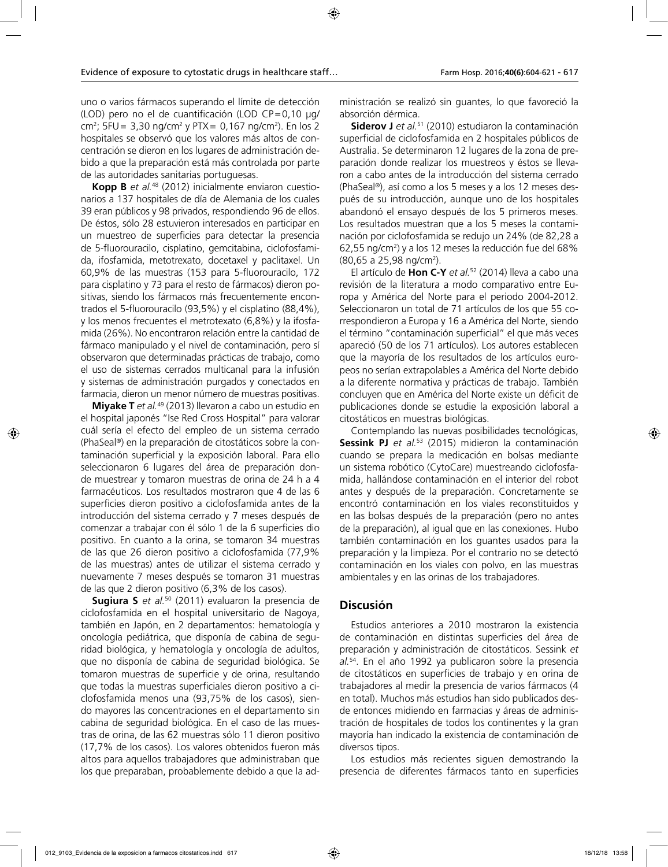uno o varios fármacos superando el límite de detección (LOD) pero no el de cuantificación (LOD CP=0,10 μg/ cm<sup>2</sup>; 5FU= 3,30 ng/cm<sup>2</sup> y PTX= 0,167 ng/cm<sup>2</sup>). En los 2 hospitales se observó que los valores más altos de concentración se dieron en los lugares de administración debido a que la preparación está más controlada por parte de las autoridades sanitarias portuguesas.

**Kopp B** *et al.*48 (2012) inicialmente enviaron cuestionarios a 137 hospitales de día de Alemania de los cuales 39 eran públicos y 98 privados, respondiendo 96 de ellos. De éstos, sólo 28 estuvieron interesados en participar en un muestreo de superficies para detectar la presencia de 5-fluorouracilo, cisplatino, gemcitabina, ciclofosfamida, ifosfamida, metotrexato, docetaxel y paclitaxel. Un 60,9% de las muestras (153 para 5-fluorouracilo, 172 para cisplatino y 73 para el resto de fármacos) dieron positivas, siendo los fármacos más frecuentemente encontrados el 5-fluorouracilo (93,5%) y el cisplatino (88,4%), y los menos frecuentes el metrotexato (6,8%) y la ifosfamida (26%). No encontraron relación entre la cantidad de fármaco manipulado y el nivel de contaminación, pero sí observaron que determinadas prácticas de trabajo, como el uso de sistemas cerrados multicanal para la infusión y sistemas de administración purgados y conectados en farmacia, dieron un menor número de muestras positivas.

**Miyake T** *et al.*49 (2013) llevaron a cabo un estudio en el hospital japonés "Ise Red Cross Hospital" para valorar cuál sería el efecto del empleo de un sistema cerrado (PhaSeal®) en la preparación de citostáticos sobre la contaminación superficial y la exposición laboral. Para ello seleccionaron 6 lugares del área de preparación donde muestrear y tomaron muestras de orina de 24 h a 4 farmacéuticos. Los resultados mostraron que 4 de las 6 superficies dieron positivo a ciclofosfamida antes de la introducción del sistema cerrado y 7 meses después de comenzar a trabajar con él sólo 1 de la 6 superficies dio positivo. En cuanto a la orina, se tomaron 34 muestras de las que 26 dieron positivo a ciclofosfamida (77,9% de las muestras) antes de utilizar el sistema cerrado y nuevamente 7 meses después se tomaron 31 muestras de las que 2 dieron positivo (6,3% de los casos).

**Sugiura S** *et al.*50 (2011) evaluaron la presencia de ciclofosfamida en el hospital universitario de Nagoya, también en Japón, en 2 departamentos: hematología y oncología pediátrica, que disponía de cabina de seguridad biológica, y hematología y oncología de adultos, que no disponía de cabina de seguridad biológica. Se tomaron muestras de superficie y de orina, resultando que todas la muestras superficiales dieron positivo a ciclofosfamida menos una (93,75% de los casos), siendo mayores las concentraciones en el departamento sin cabina de seguridad biológica. En el caso de las muestras de orina, de las 62 muestras sólo 11 dieron positivo (17,7% de los casos). Los valores obtenidos fueron más altos para aquellos trabajadores que administraban que los que preparaban, probablemente debido a que la administración se realizó sin guantes, lo que favoreció la absorción dérmica.

**Siderov J** *et al.*51 (2010) estudiaron la contaminación superficial de ciclofosfamida en 2 hospitales públicos de Australia. Se determinaron 12 lugares de la zona de preparación donde realizar los muestreos y éstos se llevaron a cabo antes de la introducción del sistema cerrado (PhaSeal®), así como a los 5 meses y a los 12 meses después de su introducción, aunque uno de los hospitales abandonó el ensayo después de los 5 primeros meses. Los resultados muestran que a los 5 meses la contaminación por ciclofosfamida se redujo un 24% (de 82,28 a 62,55 ng/cm2 ) y a los 12 meses la reducción fue del 68% (80,65 a 25,98 ng/cm<sup>2</sup>).

El artículo de **Hon C-Y** *et al.*52 (2014) lleva a cabo una revisión de la literatura a modo comparativo entre Europa y América del Norte para el periodo 2004-2012. Seleccionaron un total de 71 artículos de los que 55 correspondieron a Europa y 16 a América del Norte, siendo el término "contaminación superficial" el que más veces apareció (50 de los 71 artículos). Los autores establecen que la mayoría de los resultados de los artículos europeos no serían extrapolables a América del Norte debido a la diferente normativa y prácticas de trabajo. También concluyen que en América del Norte existe un déficit de publicaciones donde se estudie la exposición laboral a citostáticos en muestras biológicas.

Contemplando las nuevas posibilidades tecnológicas, **Sessink PJ** *et al.*53 (2015) midieron la contaminación cuando se prepara la medicación en bolsas mediante un sistema robótico (CytoCare) muestreando ciclofosfamida, hallándose contaminación en el interior del robot antes y después de la preparación. Concretamente se encontró contaminación en los viales reconstituidos y en las bolsas después de la preparación (pero no antes de la preparación), al igual que en las conexiones. Hubo también contaminación en los guantes usados para la preparación y la limpieza. Por el contrario no se detectó contaminación en los viales con polvo, en las muestras ambientales y en las orinas de los trabajadores.

## **Discusión**

Estudios anteriores a 2010 mostraron la existencia de contaminación en distintas superficies del área de preparación y administración de citostáticos. Sessink *et al.*54. En el año 1992 ya publicaron sobre la presencia de citostáticos en superficies de trabajo y en orina de trabajadores al medir la presencia de varios fármacos (4 en total). Muchos más estudios han sido publicados desde entonces midiendo en farmacias y áreas de administración de hospitales de todos los continentes y la gran mayoría han indicado la existencia de contaminación de diversos tipos.

Los estudios más recientes siguen demostrando la presencia de diferentes fármacos tanto en superficies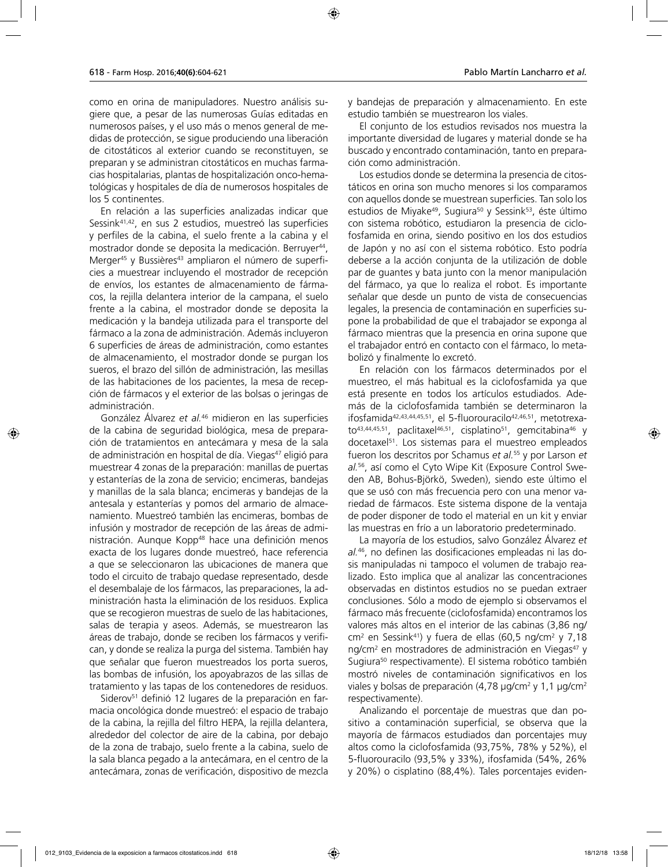como en orina de manipuladores. Nuestro análisis sugiere que, a pesar de las numerosas Guías editadas en numerosos países, y el uso más o menos general de medidas de protección, se sigue produciendo una liberación de citostáticos al exterior cuando se reconstituyen, se preparan y se administran citostáticos en muchas farmacias hospitalarias, plantas de hospitalización onco-hematológicas y hospitales de día de numerosos hospitales de los 5 continentes.

En relación a las superficies analizadas indicar que Sessink41,42, en sus 2 estudios, muestreó las superficies y perfiles de la cabina, el suelo frente a la cabina y el mostrador donde se deposita la medicación. Berruyer<sup>44</sup>, Merger<sup>45</sup> y Bussières<sup>43</sup> ampliaron el número de superficies a muestrear incluyendo el mostrador de recepción de envíos, los estantes de almacenamiento de fármacos, la rejilla delantera interior de la campana, el suelo frente a la cabina, el mostrador donde se deposita la medicación y la bandeja utilizada para el transporte del fármaco a la zona de administración. Además incluyeron 6 superficies de áreas de administración, como estantes de almacenamiento, el mostrador donde se purgan los sueros, el brazo del sillón de administración, las mesillas de las habitaciones de los pacientes, la mesa de recepción de fármacos y el exterior de las bolsas o jeringas de administración.

González Álvarez *et al.*46 midieron en las superficies de la cabina de seguridad biológica, mesa de preparación de tratamientos en antecámara y mesa de la sala de administración en hospital de día. Viegas<sup>47</sup> eligió para muestrear 4 zonas de la preparación: manillas de puertas y estanterías de la zona de servicio; encimeras, bandejas y manillas de la sala blanca; encimeras y bandejas de la antesala y estanterías y pomos del armario de almacenamiento. Muestreó también las encimeras, bombas de infusión y mostrador de recepción de las áreas de administración. Aunque Kopp<sup>48</sup> hace una definición menos exacta de los lugares donde muestreó, hace referencia a que se seleccionaron las ubicaciones de manera que todo el circuito de trabajo quedase representado, desde el desembalaje de los fármacos, las preparaciones, la administración hasta la eliminación de los residuos. Explica que se recogieron muestras de suelo de las habitaciones, salas de terapia y aseos. Además, se muestrearon las áreas de trabajo, donde se reciben los fármacos y verifican, y donde se realiza la purga del sistema. También hay que señalar que fueron muestreados los porta sueros, las bombas de infusión, los apoyabrazos de las sillas de tratamiento y las tapas de los contenedores de residuos.

Siderov<sup>51</sup> definió 12 lugares de la preparación en farmacia oncológica donde muestreó: el espacio de trabajo de la cabina, la rejilla del filtro HEPA, la rejilla delantera, alrededor del colector de aire de la cabina, por debajo de la zona de trabajo, suelo frente a la cabina, suelo de la sala blanca pegado a la antecámara, en el centro de la antecámara, zonas de verificación, dispositivo de mezcla y bandejas de preparación y almacenamiento. En este estudio también se muestrearon los viales.

El conjunto de los estudios revisados nos muestra la importante diversidad de lugares y material donde se ha buscado y encontrado contaminación, tanto en preparación como administración.

Los estudios donde se determina la presencia de citostáticos en orina son mucho menores si los comparamos con aquellos donde se muestrean superficies. Tan solo los estudios de Miyake<sup>49</sup>, Sugiura<sup>50</sup> y Sessink<sup>53</sup>, éste último con sistema robótico, estudiaron la presencia de ciclofosfamida en orina, siendo positivo en los dos estudios de Japón y no así con el sistema robótico. Esto podría deberse a la acción conjunta de la utilización de doble par de guantes y bata junto con la menor manipulación del fármaco, ya que lo realiza el robot. Es importante señalar que desde un punto de vista de consecuencias legales, la presencia de contaminación en superficies supone la probabilidad de que el trabajador se exponga al fármaco mientras que la presencia en orina supone que el trabajador entró en contacto con el fármaco, lo metabolizó y finalmente lo excretó.

En relación con los fármacos determinados por el muestreo, el más habitual es la ciclofosfamida ya que está presente en todos los artículos estudiados. Además de la ciclofosfamida también se determinaron la ifosfamida<sup>42,43,44,45,51</sup>, el 5-fluorouracilo<sup>42,46,51</sup>, metotrexato<sup>43,44,45,51</sup>, paclitaxel<sup>46,51</sup>, cisplatino<sup>51</sup>, gemcitabina<sup>46</sup> y docetaxel<sup>51</sup>. Los sistemas para el muestreo empleados fueron los descritos por Schamus *et al.*55 y por Larson *et al.*56, así como el Cyto Wipe Kit (Exposure Control Sweden AB, Bohus-Björkö, Sweden), siendo este último el que se usó con más frecuencia pero con una menor variedad de fármacos. Este sistema dispone de la ventaja de poder disponer de todo el material en un kit y enviar las muestras en frío a un laboratorio predeterminado.

La mayoría de los estudios, salvo González Álvarez *et al.*46, no definen las dosificaciones empleadas ni las dosis manipuladas ni tampoco el volumen de trabajo realizado. Esto implica que al analizar las concentraciones observadas en distintos estudios no se puedan extraer conclusiones. Sólo a modo de ejemplo si observamos el fármaco más frecuente (ciclofosfamida) encontramos los valores más altos en el interior de las cabinas (3,86 ng/ cm2 en Sessink41) y fuera de ellas (60,5 ng/cm2 y 7,18 ng/cm<sup>2</sup> en mostradores de administración en Viegas<sup>47</sup> y Sugiura<sup>50</sup> respectivamente). El sistema robótico también mostró niveles de contaminación significativos en los viales y bolsas de preparación (4,78 µg/cm² y 1,1 µg/cm² respectivamente).

Analizando el porcentaje de muestras que dan positivo a contaminación superficial, se observa que la mayoría de fármacos estudiados dan porcentajes muy altos como la ciclofosfamida (93,75%, 78% y 52%), el 5-fluorouracilo (93,5% y 33%), ifosfamida (54%, 26% y 20%) o cisplatino (88,4%). Tales porcentajes eviden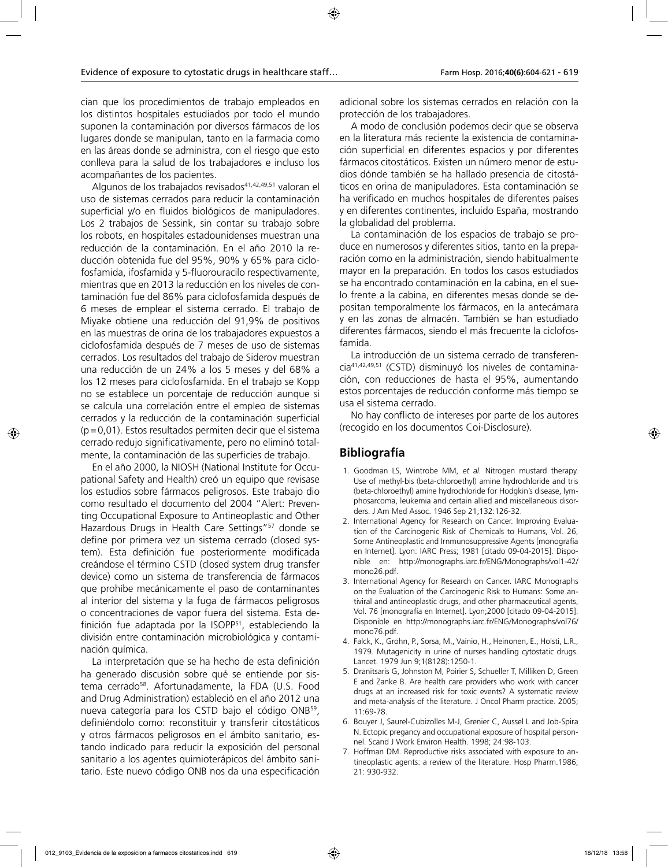cian que los procedimientos de trabajo empleados en los distintos hospitales estudiados por todo el mundo suponen la contaminación por diversos fármacos de los lugares donde se manipulan, tanto en la farmacia como en las áreas donde se administra, con el riesgo que esto conlleva para la salud de los trabajadores e incluso los acompañantes de los pacientes.

Algunos de los trabajados revisados<sup>41,42,49,51</sup> valoran el uso de sistemas cerrados para reducir la contaminación superficial y/o en fluidos biológicos de manipuladores. Los 2 trabajos de Sessink, sin contar su trabajo sobre los robots, en hospitales estadounidenses muestran una reducción de la contaminación. En el año 2010 la reducción obtenida fue del 95%, 90% y 65% para ciclofosfamida, ifosfamida y 5-fluorouracilo respectivamente, mientras que en 2013 la reducción en los niveles de contaminación fue del 86% para ciclofosfamida después de 6 meses de emplear el sistema cerrado. El trabajo de Miyake obtiene una reducción del 91,9% de positivos en las muestras de orina de los trabajadores expuestos a ciclofosfamida después de 7 meses de uso de sistemas cerrados. Los resultados del trabajo de Siderov muestran una reducción de un 24% a los 5 meses y del 68% a los 12 meses para ciclofosfamida. En el trabajo se Kopp no se establece un porcentaje de reducción aunque si se calcula una correlación entre el empleo de sistemas cerrados y la reducción de la contaminación superficial (p=0,01). Estos resultados permiten decir que el sistema cerrado redujo significativamente, pero no eliminó totalmente, la contaminación de las superficies de trabajo.

En el año 2000, la NIOSH (National Institute for Occupational Safety and Health) creó un equipo que revisase los estudios sobre fármacos peligrosos. Este trabajo dio como resultado el documento del 2004 "Alert: Preventing Occupational Exposure to Antineoplastic and Other Hazardous Drugs in Health Care Settings"57 donde se define por primera vez un sistema cerrado (closed system). Esta definición fue posteriormente modificada creándose el término CSTD (closed system drug transfer device) como un sistema de transferencia de fármacos que prohíbe mecánicamente el paso de contaminantes al interior del sistema y la fuga de fármacos peligrosos o concentraciones de vapor fuera del sistema. Esta definición fue adaptada por la ISOPP<sup>51</sup>, estableciendo la división entre contaminación microbiológica y contaminación química.

La interpretación que se ha hecho de esta definición ha generado discusión sobre qué se entiende por sistema cerrado<sup>58</sup>. Afortunadamente, la FDA (U.S. Food and Drug Administration) estableció en el año 2012 una nueva categoría para los CSTD bajo el código ONB59, definiéndolo como: reconstituir y transferir citostáticos y otros fármacos peligrosos en el ámbito sanitario, estando indicado para reducir la exposición del personal sanitario a los agentes quimioterápicos del ámbito sanitario. Este nuevo código ONB nos da una especificación

adicional sobre los sistemas cerrados en relación con la protección de los trabajadores.

A modo de conclusión podemos decir que se observa en la literatura más reciente la existencia de contaminación superficial en diferentes espacios y por diferentes fármacos citostáticos. Existen un número menor de estudios dónde también se ha hallado presencia de citostáticos en orina de manipuladores. Esta contaminación se ha verificado en muchos hospitales de diferentes países y en diferentes continentes, incluido España, mostrando la globalidad del problema.

La contaminación de los espacios de trabajo se produce en numerosos y diferentes sitios, tanto en la preparación como en la administración, siendo habitualmente mayor en la preparación. En todos los casos estudiados se ha encontrado contaminación en la cabina, en el suelo frente a la cabina, en diferentes mesas donde se depositan temporalmente los fármacos, en la antecámara y en las zonas de almacén. También se han estudiado diferentes fármacos, siendo el más frecuente la ciclofosfamida.

La introducción de un sistema cerrado de transferencia41,42,49,51 (CSTD) disminuyó los niveles de contaminación, con reducciones de hasta el 95%, aumentando estos porcentajes de reducción conforme más tiempo se usa el sistema cerrado.

No hay conflicto de intereses por parte de los autores (recogido en los documentos Coi-Disclosure).

# **Bibliografía**

- 1. Goodman LS, Wintrobe MM, *et al.* Nitrogen mustard therapy. Use of methyl-bis (beta-chloroethyl) amine hydrochloride and tris (beta-chloroethyl) amine hydrochloride for Hodgkin's disease, lymphosarcoma, leukemia and certain allied and miscellaneous disorders. J Am Med Assoc. 1946 Sep 21;132:126-32.
- 2. International Agency for Research on Cancer. Improving Evaluation of the Carcinogenic Risk of Chemicals to Humans, Vol. 26, Sorne Antineoplastic and Irnmunosuppressive Agents [monografía en Internet]. Lyon: IARC Press; 1981 [citado 09-04-2015]. Disponible en: http://monographs.iarc.fr/ENG/Monographs/vol1-42/ mono26.pdf.
- 3. International Agency for Research on Cancer. IARC Monographs on the Evaluation of the Carcinogenic Risk to Humans: Some antiviral and antineoplastic drugs, and other pharmaceutical agents, Vol. 76 [monografía en Internet]. Lyon;2000 [citado 09-04-2015]. Disponible en http://monographs.iarc.fr/ENG/Monographs/vol76/ mono76.pdf.
- 4. Falck, K., Grohn, P., Sorsa, M., Vainio, H., Heinonen, E., Holsti, L.R., 1979. Mutagenicity in urine of nurses handling cytostatic drugs. Lancet. 1979 Jun 9;1(8128):1250-1.
- 5. Dranitsaris G, Johnston M, Poirier S, Schueller T, Milliken D, Green E and Zanke B. Are health care providers who work with cancer drugs at an increased risk for toxic events? A systematic review and meta-analysis of the literature. J Oncol Pharm practice. 2005; 11:69-78.
- 6. Bouyer J, Saurel-Cubizolles M-J, Grenier C, Aussel L and Job-Spira N. Ectopic pregancy and occupational exposure of hospital personnel. Scand J Work Environ Health. 1998; 24:98-103.
- 7. Hoffman DM. Reproductive risks associated with exposure to antineoplastic agents: a review of the literature. Hosp Pharm.1986; 21: 930-932.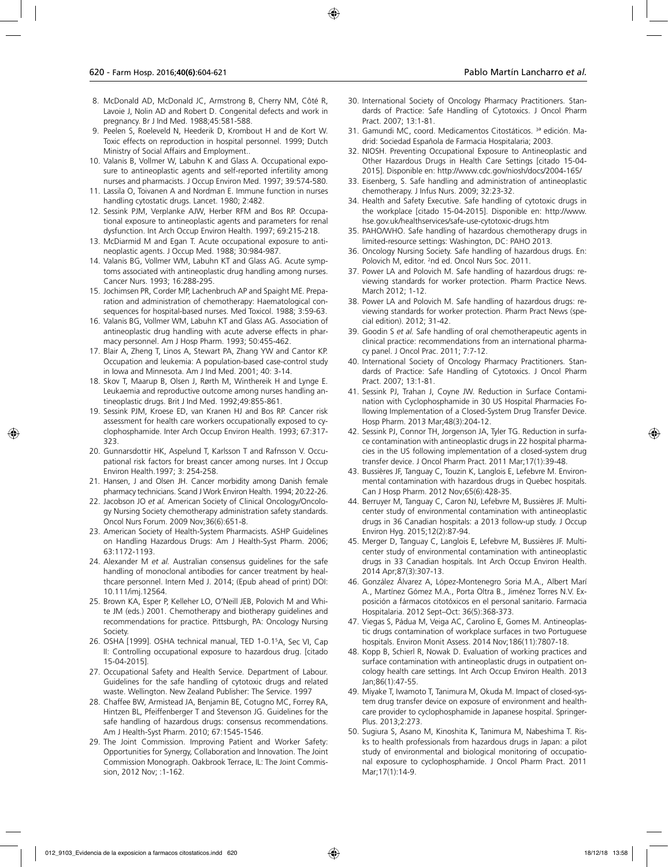- 8. McDonald AD, McDonald JC, Armstrong B, Cherry NM, Côté R, Lavoie J, Nolin AD and Robert D. Congenital defects and work in pregnancy. Br J Ind Med. 1988;45:581-588.
- 9. Peelen S, Roeleveld N, Heederik D, Krombout H and de Kort W. Toxic effects on reproduction in hospital personnel. 1999; Dutch Ministry of Social Affairs and Employment..
- 10. Valanis B, Vollmer W, Labuhn K and Glass A. Occupational exposure to antineoplastic agents and self-reported infertility among nurses and pharmacists. J Occup Environ Med. 1997; 39:574-580.
- 11. Lassila O, Toivanen A and Nordman E. Immune function in nurses handling cytostatic drugs. Lancet. 1980; 2:482.
- 12. Sessink PJM, Verplanke AJW, Herber RFM and Bos RP. Occupational exposure to antineoplastic agents and parameters for renal dysfunction. Int Arch Occup Environ Health. 1997; 69:215-218.
- 13. McDiarmid M and Egan T. Acute occupational exposure to antineoplastic agents. J Occup Med. 1988; 30:984-987.
- 14. Valanis BG, Vollmer WM, Labuhn KT and Glass AG. Acute symptoms associated with antineoplastic drug handling among nurses. Cancer Nurs. 1993; 16:288-295.
- 15. Jochimsen PR, Corder MP, Lachenbruch AP and Spaight ME. Preparation and administration of chemotherapy: Haematological consequences for hospital-based nurses. Med Toxicol. 1988; 3:59-63.
- 16. Valanis BG, Vollmer WM, Labuhn KT and Glass AG. Association of antineoplastic drug handling with acute adverse effects in pharmacy personnel. Am J Hosp Pharm. 1993; 50:455-462.
- 17. Blair A, Zheng T, Linos A, Stewart PA, Zhang YW and Cantor KP. Occupation and leukemia: A population-based case-control study in Iowa and Minnesota. Am J Ind Med. 2001; 40: 3-14.
- 18. Skov T, Maarup B, Olsen J, Rørth M, Winthereik H and Lynge E. Leukaemia and reproductive outcome among nurses handling antineoplastic drugs. Brit J Ind Med. 1992;49:855-861.
- 19. Sessink PJM, Kroese ED, van Kranen HJ and Bos RP. Cancer risk assessment for health care workers occupationally exposed to cyclophosphamide. Inter Arch Occup Environ Health. 1993; 67:317- 323.
- 20. Gunnarsdottir HK, Aspelund T, Karlsson T and Rafnsson V. Occupational risk factors for breast cancer among nurses. Int J Occup Environ Health.1997; 3: 254-258.
- 21. Hansen, J and Olsen JH. Cancer morbidity among Danish female pharmacy technicians. Scand J Work Environ Health. 1994; 20:22-26.
- 22. Jacobson JO *et al.* American Society of Clinical Oncology/Oncology Nursing Society chemotherapy administration safety standards. Oncol Nurs Forum. 2009 Nov;36(6):651-8.
- 23. American Society of Health-System Pharmacists. ASHP Guidelines on Handling Hazardous Drugs: Am J Health-Syst Pharm. 2006; 63:1172-1193.
- 24. Alexander M *et al.* Australian consensus guidelines for the safe handling of monoclonal antibodies for cancer treatment by healthcare personnel. Intern Med J. 2014; (Epub ahead of print) DOI: 10.111/imj.12564.
- 25. Brown KA, Esper P, Kelleher LO, O'Neill JEB, Polovich M and White JM (eds.) 2001. Chemotherapy and biotherapy guidelines and recommendations for practice. Pittsburgh, PA: Oncology Nursing Society.
- 26. OSHA [1999]. OSHA technical manual, TED 1-0.15 A, Sec VI, Cap II: Controlling occupational exposure to hazardous drug. [citado 15-04-2015].
- 27. Occupational Safety and Health Service. Department of Labour. Guidelines for the safe handling of cytotoxic drugs and related waste. Wellington. New Zealand Publisher: The Service. 1997
- 28. Chaffee BW, Armistead JA, Benjamin BE, Cotugno MC, Forrey RA, Hintzen BL, Pfeiffenberger T and Stevenson JG. Guidelines for the safe handling of hazardous drugs: consensus recommendations. Am J Health-Syst Pharm. 2010; 67:1545-1546.
- 29. The Joint Commission. Improving Patient and Worker Safety: Opportunities for Synergy, Collaboration and Innovation. The Joint Commission Monograph. Oakbrook Terrace, IL: The Joint Commission, 2012 Nov; :1-162.
- 30. International Society of Oncology Pharmacy Practitioners. Standards of Practice: Safe Handling of Cytotoxics. J Oncol Pharm Pract. 2007; 13:1-81.
- 31. Gamundi MC, coord. Medicamentos Citostáticos. 3 ª edición. Madrid: Sociedad Española de Farmacia Hospitalaria; 2003.
- 32. NIOSH. Preventing Occupational Exposure to Antineoplastic and Other Hazardous Drugs in Health Care Settings [citado 15-04- 2015]. Disponible en: http://www.cdc.gov/niosh/docs/2004-165/
- 33. Eisenberg, S. Safe handling and administration of antineoplastic chemotherapy. J Infus Nurs. 2009; 32:23-32.
- 34. Health and Safety Executive. Safe handling of cytotoxic drugs in the workplace [citado 15-04-2015]. Disponible en: http://www. hse.gov.uk/healthservices/safe-use-cytotoxic-drugs.htm
- 35. PAHO/WHO. Safe handling of hazardous chemotherapy drugs in limited-resource settings: Washington, DC: PAHO 2013.
- 36. Oncology Nursing Society. Safe handling of hazardous drugs. En: Polovich M, editor. <sup>2</sup>nd ed. Oncol Nurs Soc. 2011.
- 37. Power LA and Polovich M. Safe handling of hazardous drugs: reviewing standards for worker protection. Pharm Practice News. March 2012; 1-12.
- 38. Power LA and Polovich M. Safe handling of hazardous drugs: reviewing standards for worker protection. Pharm Pract News (special edition). 2012; 31-42.
- 39. Goodin S *et al.* Safe handling of oral chemotherapeutic agents in clinical practice: recommendations from an international pharmacy panel. J Oncol Prac. 2011; 7:7-12.
- 40. International Society of Oncology Pharmacy Practitioners. Standards of Practice: Safe Handling of Cytotoxics. J Oncol Pharm Pract. 2007; 13:1-81.
- 41. Sessink PJ, Trahan J, Coyne JW. Reduction in Surface Contamination with Cyclophosphamide in 30 US Hospital Pharmacies Following Implementation of a Closed-System Drug Transfer Device. Hosp Pharm. 2013 Mar;48(3):204-12.
- 42. Sessink PJ, Connor TH, Jorgenson JA, Tyler TG. Reduction in surface contamination with antineoplastic drugs in 22 hospital pharmacies in the US following implementation of a closed-system drug transfer device. J Oncol Pharm Pract. 2011 Mar;17(1):39-48.
- 43. Bussières JF, Tanguay C, Touzin K, Langlois E, Lefebvre M. Environmental contamination with hazardous drugs in Quebec hospitals. Can J Hosp Pharm. 2012 Nov;65(6):428-35.
- 44. Berruyer M, Tanguay C, Caron NJ, Lefebvre M, Bussières JF. Multicenter study of environmental contamination with antineoplastic drugs in 36 Canadian hospitals: a 2013 follow-up study. J Occup Environ Hyg. 2015;12(2):87-94.
- 45. Merger D, Tanguay C, Langlois E, Lefebvre M, Bussières JF. Multicenter study of environmental contamination with antineoplastic drugs in 33 Canadian hospitals. Int Arch Occup Environ Health. 2014 Apr;87(3):307-13.
- 46. González Álvarez A, López-Montenegro Soria M.A., Albert Marí A., Martínez Gómez M.A., Porta Oltra B., Jiménez Torres N.V. Exposición a fármacos citotóxicos en el personal sanitario. Farmacia Hospitalaria. 2012 Sept–Oct: 36(5):368-373.
- 47. Viegas S, Pádua M, Veiga AC, Carolino E, Gomes M. Antineoplastic drugs contamination of workplace surfaces in two Portuguese hospitals. Environ Monit Assess. 2014 Nov;186(11):7807-18.
- 48. Kopp B, Schierl R, Nowak D. Evaluation of working practices and surface contamination with antineoplastic drugs in outpatient oncology health care settings. Int Arch Occup Environ Health. 2013 Jan;86(1):47-55.
- 49. Miyake T, Iwamoto T, Tanimura M, Okuda M. Impact of closed-system drug transfer device on exposure of environment and healthcare provider to cyclophosphamide in Japanese hospital. Springer-Plus. 2013;2:273.
- 50. Sugiura S, Asano M, Kinoshita K, Tanimura M, Nabeshima T. Risks to health professionals from hazardous drugs in Japan: a pilot study of environmental and biological monitoring of occupational exposure to cyclophosphamide. J Oncol Pharm Pract. 2011 Mar;17(1):14-9.